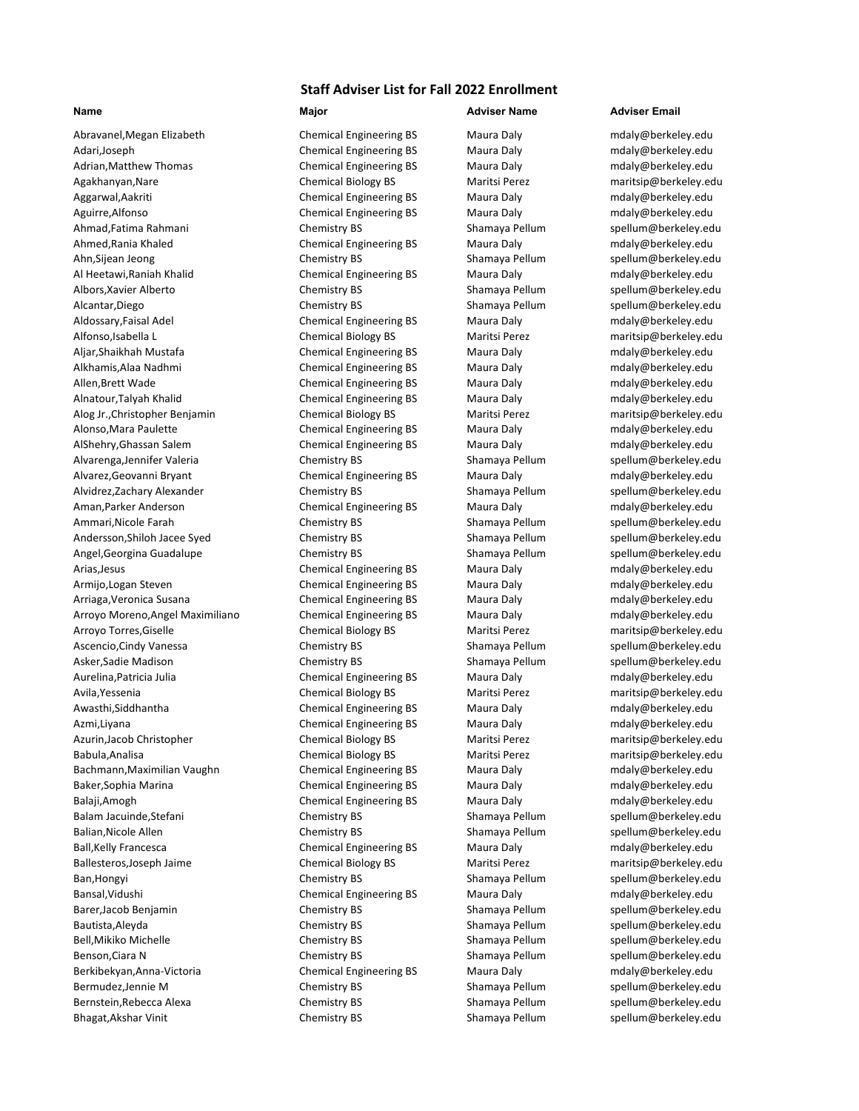Adari,Joseph **Chemical Engineering BS** Maura Daly [mdaly@berkeley.edu](mailto:jahzeel_flores@berkeley.edu) Adrian,Matthew Thomas **Chemical Engineering BS** Maura Daly manufaly@berkeley.edu Agakhanyan,Nare Chemical Biology BS Maritsi Perez [maritsip@berkeley.edu](mailto:maritsip@berkeley.edu) Aggarwal,Aakriti **Chemical Engineering BS** Maura Daly [mdaly@berkeley.edu](mailto:jahzeel_flores@berkeley.edu) Aguirre,Alfonso **Chemical Engineering BS** Maura Daly manufaly@berkeley.edu Ahmad,Fatima Rahmani **Shamat Ahmad, Example 2018** Chemistry BS Shamaya Pellum [spellum@berkeley.edu](mailto:jahzeel_flores@berkeley.edu) Ahmed,Rania Khaled Chemical Engineering BS Maura Daly [mdaly@berkeley.edu](mailto:jahzeel_flores@berkeley.edu) Ahn,Sijean Jeong Chemistry BS Shamaya Pellum Spellum@berkeley.edu Al Heetawi,Raniah Khalid Chemical Engineering BS Maura Daly [mdaly@berkeley.edu](mailto:jahzeel_flores@berkeley.edu) Albors,Xavier Alberto **Chemistry BS** Shamaya Pellum [spellum@berkeley.edu](mailto:jahzeel_flores@berkeley.edu) Alcantar,Diego Chemistry BS Shamaya Pellum [spellum@berkeley.edu](mailto:jahzeel_flores@berkeley.edu) Aldossary,Faisal Adel **Chemical Engineering BS** Maura Daly [mdaly@berkeley.edu](mailto:jahzeel_flores@berkeley.edu) Alfonso,Isabella L Chemical Biology BS Maritsi Perez [maritsip@berkeley.edu](mailto:jahzeel_flores@berkeley.edu) Aljar,Shaikhah Mustafa Chemical Engineering BS Maura Daly [mdaly@berkeley.edu](mailto:jahzeel_flores@berkeley.edu) Alkhamis,Alaa Nadhmi and Chemical Engineering BS Maura Daly man [mdaly@berkeley.edu](mailto:jahzeel_flores@berkeley.edu) Allen,Brett Wade Chemical Engineering BS Maura Daly [mdaly@berkeley.edu](mailto:jahzeel_flores@berkeley.edu) Alnatour,Talyah Khalid Chemical Engineering BS Maura Daly [mdaly@berkeley.edu](mailto:jahzeel_flores@berkeley.edu) Alog Jr.,Christopher Benjamin Chemical Biology BS Maritsi Perez [maritsip@berkeley.edu](mailto:jahzeel_flores@berkeley.edu) Alonso,Mara Paulette and Chemical Engineering BS Maura Daly many [mdaly@berkeley.edu](mailto:jahzeel_flores@berkeley.edu) AlShehry,Ghassan Salem Chemical Engineering BS Maura Daly [mdaly@berkeley.edu](mailto:jahzeel_flores@berkeley.edu) Alvarenga,Jennifer Valeria Chemistry BS Shamaya Pellum [spellum@berkeley.edu](mailto:jahzeel_flores@berkeley.edu) Alvarez, Geovanni Bryant Chemical Engineering BS Maura Daly Alvidrez,Zachary Alexander **Chemistry BS** Shamaya Pellum [spellum@berkeley.edu](mailto:jahzeel_flores@berkeley.edu) Aman,Parker Anderson **Chemical Engineering BS** Maura Daly man,Parker Andely@berkeley.edu Ammari, Nicole Farah **Chemistry BS** Shamaya Pellum [spellum@berkeley.edu](mailto:jahzeel_flores@berkeley.edu) Andersson, Shiloh Jacee Syed Chemistry BS Shamaya Pellum [spellum@berkeley.edu](mailto:jahzeel_flores@berkeley.edu) Angel,Georgina Guadalupe Chemistry BS Shamaya Pellum [spellum@berkeley.edu](mailto:jahzeel_flores@berkeley.edu) Arias,Jesus **Chemical Engineering BS** Maura Daly [mdaly@berkeley.edu](mailto:jahzeel_flores@berkeley.edu) Armijo,Logan Steven Theory of Chemical Engineering BS Maura Daly many [mdaly@berkeley.edu](mailto:jahzeel_flores@berkeley.edu) Arriaga,Veronica Susana Chemical Engineering BS Maura Daly [mdaly@berkeley.edu](mailto:jahzeel_flores@berkeley.edu) Arroyo Moreno,Angel Maximiliano Chemical Engineering BS Maura Daly manus [mdaly@berkeley.edu](mailto:jahzeel_flores@berkeley.edu) Arroyo Torres,Giselle Chemical Biology BS Maritsi Perez [maritsip@berkeley.edu](mailto:jahzeel_flores@berkeley.edu) Ascencio,Cindy Vanessa **Chemistry BS** Shamaya Pellum [spellum@berkeley.edu](mailto:jahzeel_flores@berkeley.edu) Asker,Sadie Madison **Shamaya Pellum Shamaya Pellum** Shamaya Pellum [spellum@berkeley.edu](mailto:jahzeel_flores@berkeley.edu) Aurelina,Patricia Julia Chemical Engineering BS Maura Daly [mdaly@berkeley.edu](mailto:jahzeel_flores@berkeley.edu) Avila,Yessenia Chemical Biology BS Maritsi Perez [maritsip@berkeley.edu](mailto:jahzeel_flores@berkeley.edu) Awasthi,Siddhantha Chemical Engineering BS Maura Daly [mdaly@berkeley.edu](mailto:jahzeel_flores@berkeley.edu) Azmi,Liyana Chemical Engineering BS Maura Daly [mdaly@berkeley.edu](mailto:jahzeel_flores@berkeley.edu) Azurin,Jacob Christopher Chemical Biology BS Maritsi Perez [maritsip@berkeley.edu](mailto:jahzeel_flores@berkeley.edu) Babula,Analisa Chemical Biology BS Maritsi Perez [maritsip@berkeley.edu](mailto:jahzeel_flores@berkeley.edu) Bachmann,Maximilian Vaughn Chemical Engineering BS Maura Daly modaly@berkeley.edu Baker,Sophia Marina **Chemical Engineering BS** Maura Daly manufaly@berkeley.edu Balaji,Amogh Chemical Engineering BS Maura Daly [mdaly@berkeley.edu](mailto:jahzeel_flores@berkeley.edu) Balam Jacuinde,Stefani **Shamaya Pellum Shamaya Pellum** Shamaya Pellum [spellum@berkeley.edu](mailto:jahzeel_flores@berkeley.edu) Balian,Nicole Allen **Shamaya Pellum Shamaya Pellum** Shamaya Pellum [spellum@berkeley.edu](mailto:jahzeel_flores@berkeley.edu) Ball,Kelly Francesca **Chemical Engineering BS** Maura Daly modaly@berkeley.edu Ballesteros,Joseph Jaime Chemical Biology BS Maritsi Perez [maritsip@berkeley.edu](mailto:jahzeel_flores@berkeley.edu) Ban,Hongyi Shamaya Pellum Spellum@berkeley.edu Bansal, Vidushi **Chemical Engineering BS** Maura Daly [mdaly@berkeley.edu](mailto:jahzeel_flores@berkeley.edu) Barer,Jacob Benjamin **Shamaya Pellum Shamaya Pellum** Shamaya Pellum [spellum@berkeley.edu](mailto:jahzeel_flores@berkeley.edu) Bautista,Aleyda **Shamaya Pellum** Spellum@berkeley.edu Bell,Mikiko Michelle Chemistry BS Shamaya Pellum [spellum@berkeley.edu](mailto:jahzeel_flores@berkeley.edu) Benson,Ciara N Chemistry BS Shamaya Pellum [spellum@berkeley.edu](mailto:jahzeel_flores@berkeley.edu) Berkibekyan,Anna-Victoria **Chemical Engineering BS** Maura Daly [mdaly@berkeley.edu](mailto:jahzeel_flores@berkeley.edu) Bermudez,Jennie M **Shamaya Pellum Shamaya Pellum** Shamaya Pellum [spellum@berkeley.edu](mailto:jahzeel_flores@berkeley.edu) Bernstein,Rebecca Alexa **Shamaya Pellum Shamaya Pellum** Spellum et alexa spellum et al. edu Bhagat,Akshar Vinit **Shamaya Pellum** Shamaya Pellum [spellum@berkeley.edu](mailto:jahzeel_flores@berkeley.edu)

# **Staff Adviser List for Fall 2022 Enrollment**

Abravanel,Megan Elizabeth Chemical Engineering BS Maura Daly mdaly@berkeley.edu

## **Name Major Adviser Name Adviser Email**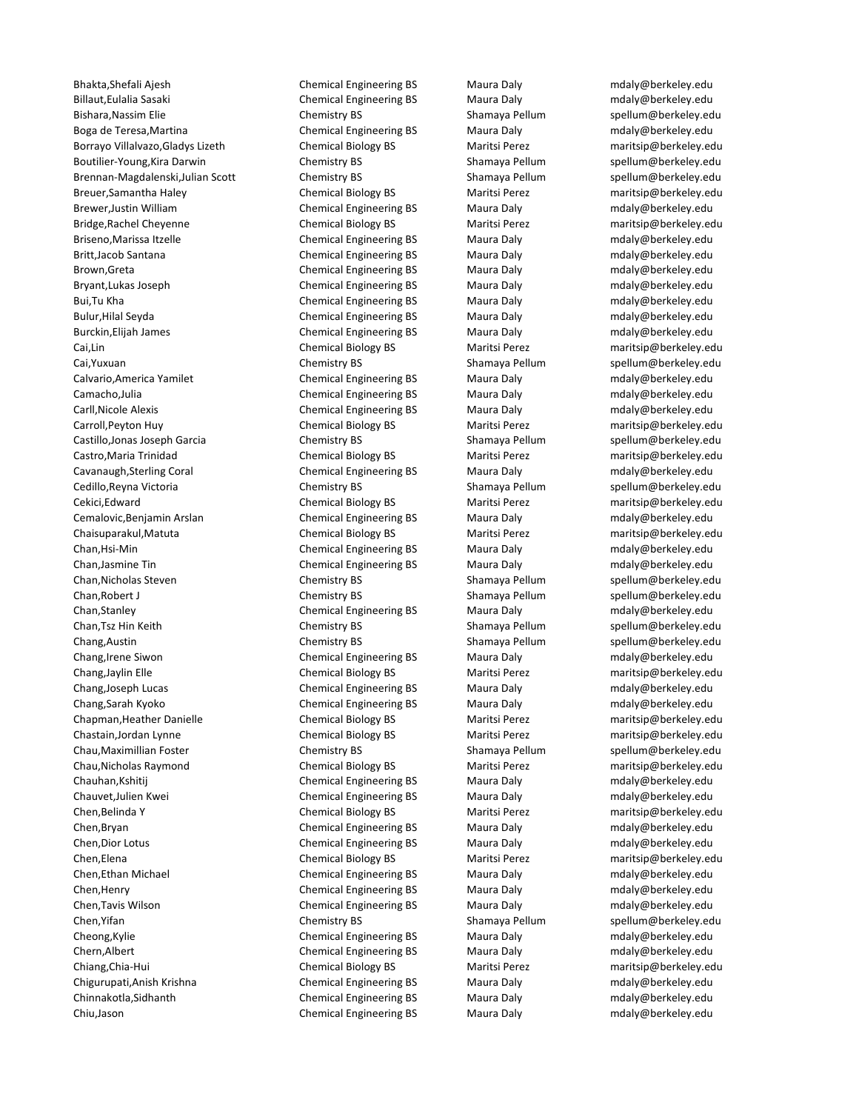Bhakta,Shefali Ajesh Chemical Engineering BS Maura Daly [mdaly@berkeley.edu](mailto:jahzeel_flores@berkeley.edu) Billaut,Eulalia Sasaki **Chemical Engineering BS** Maura Daly manus [mdaly@berkeley.edu](mailto:jahzeel_flores@berkeley.edu) Bishara,Nassim Elie Chemistry BS Shamaya Pellum [spellum@berkeley.edu](mailto:jahzeel_flores@berkeley.edu) Boga de Teresa,Martina Chemical Engineering BS Maura Daly [mdaly@berkeley.edu](mailto:jahzeel_flores@berkeley.edu) Borrayo Villalvazo,Gladys Lizeth Chemical Biology BS Maritsi Perez [maritsip@berkeley.edu](mailto:jahzeel_flores@berkeley.edu) Boutilier-Young,Kira Darwin **Shamaya Pellum Shamaya Pellum** Spellum@berkeley.edu Brennan-Magdalenski,Julian Scott Chemistry BS Shamaya Pellum [spellum@berkeley.edu](mailto:jahzeel_flores@berkeley.edu) Breuer,Samantha Haley Chemical Biology BS Maritsi Perez [maritsip@berkeley.edu](mailto:jahzeel_flores@berkeley.edu) Brewer,Justin William Chemical Engineering BS Maura Daly [mdaly@berkeley.edu](mailto:jahzeel_flores@berkeley.edu) Bridge,Rachel Cheyenne Chemical Biology BS Maritsi Perez [maritsip@berkeley.edu](mailto:jahzeel_flores@berkeley.edu) Briseno, Marissa Itzelle **Chemical Engineering BS** Maura Daly modaly@berkeley.edu Britt,Jacob Santana Chemical Engineering BS Maura Daly [mdaly@berkeley.edu](mailto:jahzeel_flores@berkeley.edu) Brown,Greta **Chemical Engineering BS** Maura Daly [mdaly@berkeley.edu](mailto:jahzeel_flores@berkeley.edu) Bryant,Lukas Joseph Chemical Engineering BS Maura Daly [mdaly@berkeley.edu](mailto:jahzeel_flores@berkeley.edu) Bui,Tu Kha Chemical Engineering BS Maura Daly [mdaly@berkeley.edu](mailto:jahzeel_flores@berkeley.edu) Bulur, Hilal Seyda **Chemical Engineering BS** Maura Daly manus [mdaly@berkeley.edu](mailto:jahzeel_flores@berkeley.edu) Burckin,Elijah James Chemical Engineering BS Maura Daly [mdaly@berkeley.edu](mailto:jahzeel_flores@berkeley.edu) Cai,Lin Chemical Biology BS Maritsi Perez [maritsip@berkeley.edu](mailto:jahzeel_flores@berkeley.edu) Cai,Yuxuan **Chemistry BS** Shamaya Pellum [spellum@berkeley.edu](mailto:jahzeel_flores@berkeley.edu) Calvario,America Yamilet Chemical Engineering BS Maura Daly [mdaly@berkeley.edu](mailto:jahzeel_flores@berkeley.edu) Camacho,Julia Chemical Engineering BS Maura Daly [mdaly@berkeley.edu](mailto:jahzeel_flores@berkeley.edu) Carll,Nicole Alexis Chemical Engineering BS Maura Daly [mdaly@berkeley.edu](mailto:jahzeel_flores@berkeley.edu) Carroll,Peyton Huy Chemical Biology BS Maritsi Perez [maritsip@berkeley.edu](mailto:jahzeel_flores@berkeley.edu) Castillo,Jonas Joseph Garcia **Chemistry BS** Shamaya Pellum [spellum@berkeley.edu](mailto:jahzeel_flores@berkeley.edu) Castro,Maria Trinidad Chemical Biology BS Maritsi Perez [maritsip@berkeley.edu](mailto:jahzeel_flores@berkeley.edu) Cavanaugh,Sterling Coral Chemical Engineering BS Maura Daly [mdaly@berkeley.edu](mailto:jahzeel_flores@berkeley.edu) Cedillo,Reyna Victoria **Chemistry BS** Shamaya Pellum [spellum@berkeley.edu](mailto:jahzeel_flores@berkeley.edu) Cekici,Edward Chemical Biology BS Maritsi Perez [maritsip@berkeley.edu](mailto:jahzeel_flores@berkeley.edu) Cemalovic,Benjamin Arslan Chemical Engineering BS Maura Daly [mdaly@berkeley.edu](mailto:jahzeel_flores@berkeley.edu) Chaisuparakul,Matuta Chemical Biology BS Maritsi Perez [maritsip@berkeley.edu](mailto:jahzeel_flores@berkeley.edu) Chan,Hsi-Min Chemical Engineering BS Maura Daly [mdaly@berkeley.edu](mailto:jahzeel_flores@berkeley.edu) Chan,Jasmine Tin Chemical Engineering BS Maura Daly [mdaly@berkeley.edu](mailto:jahzeel_flores@berkeley.edu) Chan, Nicholas Steven Chemistry BS Shamaya Pellum [spellum@berkeley.edu](mailto:jahzeel_flores@berkeley.edu) Chan,Robert J Chemistry BS Shamaya Pellum [spellum@berkeley.edu](mailto:jahzeel_flores@berkeley.edu) Chan,Stanley **Chan,Stanley Chemical Engineering BS** Maura Daly manufaly@berkeley.edu Chan,Tsz Hin Keith Chemistry BS Shamaya Pellum [spellum@berkeley.edu](mailto:jahzeel_flores@berkeley.edu) Chang,Austin **Shamaya Pellum** Shamaya Pellum [spellum@berkeley.edu](mailto:jahzeel_flores@berkeley.edu) Chang,Irene Siwon Chemical Engineering BS Maura Daly [mdaly@berkeley.edu](mailto:jahzeel_flores@berkeley.edu) Chang,Jaylin Elle Chemical Biology BS Maritsi Perez [maritsip@berkeley.edu](mailto:jahzeel_flores@berkeley.edu) Chang,Joseph Lucas **Chemical Engineering BS** Maura Daly manus [mdaly@berkeley.edu](mailto:jahzeel_flores@berkeley.edu) Chang,Sarah Kyoko Chemical Engineering BS Maura Daly [mdaly@berkeley.edu](mailto:jahzeel_flores@berkeley.edu) Chapman,Heather Danielle Chemical Biology BS Maritsi Perez [maritsip@berkeley.edu](mailto:jahzeel_flores@berkeley.edu) Chastain,Jordan Lynne Chemical Biology BS Maritsi Perez [maritsip@berkeley.edu](mailto:jahzeel_flores@berkeley.edu) Chau,Maximillian Foster **Chemistry BS** Shamaya Pellum [spellum@berkeley.edu](mailto:jahzeel_flores@berkeley.edu) Chau,Nicholas Raymond Chemical Biology BS Maritsi Perez [maritsip@berkeley.edu](mailto:jahzeel_flores@berkeley.edu) Chauhan,Kshitij Chemical Engineering BS Maura Daly [mdaly@berkeley.edu](mailto:jahzeel_flores@berkeley.edu) Chauvet,Julien Kwei **Chemical Engineering BS** Maura Daly manuvet,Julien Kwei edu Chen,Belinda Y Chemical Biology BS Maritsi Perez [maritsip@berkeley.edu](mailto:jahzeel_flores@berkeley.edu) Chen,Bryan Chemical Engineering BS Maura Daly [mdaly@berkeley.edu](mailto:jahzeel_flores@berkeley.edu) Chen,Dior Lotus Chemical Engineering BS Maura Daly [mdaly@berkeley.edu](mailto:jahzeel_flores@berkeley.edu) Chen,Elena Chemical Biology BS Maritsi Perez [maritsip@berkeley.edu](mailto:jahzeel_flores@berkeley.edu) Chen,Ethan Michael Chemical Engineering BS Maura Daly [mdaly@berkeley.edu](mailto:jahzeel_flores@berkeley.edu) Chen,Henry Chemical Engineering BS Maura Daly [mdaly@berkeley.edu](mailto:jahzeel_flores@berkeley.edu) Chen,Tavis Wilson **Chemical Engineering BS** Maura Daly manus [mdaly@berkeley.edu](mailto:jahzeel_flores@berkeley.edu) Chen, Yifan Shamaya Pellum Shamaya Pellum Shamaya Pellum Shamaya Pellum Shamaya Pellum Shamaya Pellum Shamaya Pellum Shamaya Pellum Shamaya Pellum Shamaya Pellum Shamaya Pellum Shamaya Pellum Shamaya Pellum Shamaya Pellum Cheong, Kylie **Chemical Engineering BS** Maura Daly manufaly@berkeley.edu Chern,Albert **Chemical Engineering BS** Maura Daly [mdaly@berkeley.edu](mailto:jahzeel_flores@berkeley.edu) Chiang,Chia-Hui Chemical Biology BS Maritsi Perez [maritsip@berkeley.edu](mailto:jahzeel_flores@berkeley.edu) Chigurupati,Anish Krishna Chemical Engineering BS Maura Daly [mdaly@berkeley.edu](mailto:jahzeel_flores@berkeley.edu) Chinnakotla,Sidhanth Chemical Engineering BS Maura Daly [mdaly@berkeley.edu](mailto:jahzeel_flores@berkeley.edu) Chiu,Jason Chemical Engineering BS Maura Daly [mdaly@berkeley.edu](mailto:jahzeel_flores@berkeley.edu)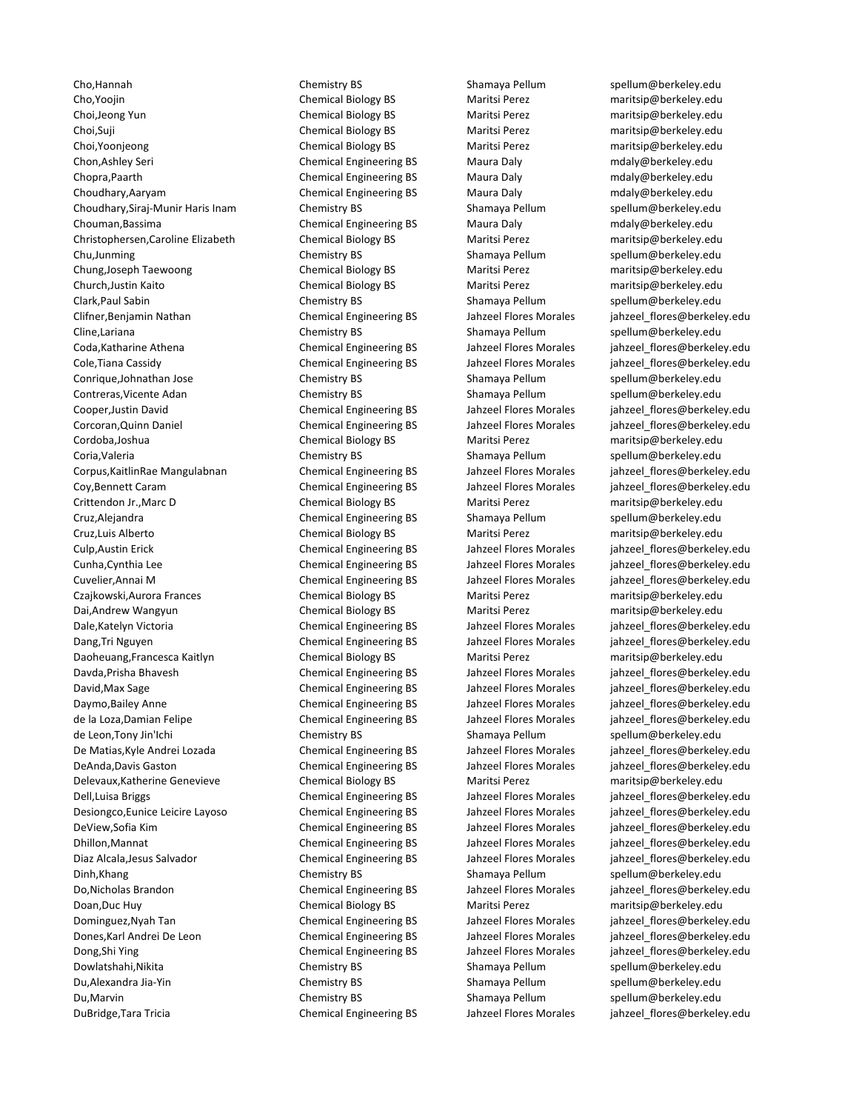Cho,Hannah Chemistry BS Shamaya Pellum [spellum@berkeley.edu](mailto:jahzeel_flores@berkeley.edu) Cho,Yoojin Chemical Biology BS Maritsi Perez [maritsip@berkeley.edu](mailto:jahzeel_flores@berkeley.edu) Choi,Jeong Yun Chemical Biology BS Maritsi Perez [maritsip@berkeley.edu](mailto:jahzeel_flores@berkeley.edu) Choi,Suji Chemical Biology BS Maritsi Perez [maritsip@berkeley.edu](mailto:jahzeel_flores@berkeley.edu) Choi,Yoonjeong Chemical Biology BS Maritsi Perez [maritsip@berkeley.edu](mailto:jahzeel_flores@berkeley.edu) Chon,Ashley Seri Chemical Engineering BS Maura Daly [mdaly@berkeley.edu](mailto:jahzeel_flores@berkeley.edu) Chopra,Paarth Chemical Engineering BS Maura Daly [mdaly@berkeley.edu](mailto:jahzeel_flores@berkeley.edu) Choudhary,Aaryam Chemical Engineering BS Maura Daly modaly@berkeley.edu Choudhary,Siraj-Munir Haris Inam Chemistry BS Shamaya Pellum [spellum@berkeley.edu](mailto:jahzeel_flores@berkeley.edu) Chouman,Bassima Chemical Engineering BS Maura Daly [mdaly@berkeley.edu](mailto:jahzeel_flores@berkeley.edu) Christophersen,Caroline Elizabeth Chemical Biology BS Maritsi Perez [maritsip@berkeley.edu](mailto:jahzeel_flores@berkeley.edu) Chu,Junming Chemistry BS Shamaya Pellum [spellum@berkeley.edu](mailto:jahzeel_flores@berkeley.edu) Chung,Joseph Taewoong Chemical Biology BS Maritsi Perez [maritsip@berkeley.edu](mailto:jahzeel_flores@berkeley.edu) Church,Justin Kaito Chemical Biology BS Maritsi Perez [maritsip@berkeley.edu](mailto:jahzeel_flores@berkeley.edu) Clark,Paul Sabin Sabin Chemistry BS Shamaya Pellum Spellum@berkeley.edu Clifner,Benjamin Nathan Chemical Engineering BS Jahzeel Flores Morales [jahzeel\\_flores@berkeley.edu](mailto:jahzeel_flores@berkeley.edu) Cline,Lariana **Chemistry BS** Shamaya Pellum [spellum@berkeley.edu](mailto:jahzeel_flores@berkeley.edu) Coda,Katharine Athena Chemical Engineering BS Jahzeel Flores Morales [jahzeel\\_flores@berkeley.edu](mailto:jahzeel_flores@berkeley.edu) Cole,Tiana Cassidy Chemical Engineering BS Jahzeel Flores Morales inhzeel flores@berkeley.edu Conrique,Johnathan Jose **Chemistry BS** Shamaya Pellum [spellum@berkeley.edu](mailto:jahzeel_flores@berkeley.edu) Contreras,Vicente Adan **Shamaya Pellum** Shamaya Pellum [spellum@berkeley.edu](mailto:jahzeel_flores@berkeley.edu) Cooper,Justin David Chemical Engineering BS Jahzeel Flores Morales [jahzeel\\_flores@berkeley.edu](mailto:jahzeel_flores@berkeley.edu) Corcoran,Quinn Daniel Chemical Engineering BS Jahzeel Flores Morales [jahzeel\\_flores@berkeley.edu](mailto:jahzeel_flores@berkeley.edu) Cordoba,Joshua Chemical Biology BS Maritsi Perez [maritsip@berkeley.edu](mailto:jahzeel_flores@berkeley.edu) Coria,Valeria Chemistry BS Shamaya Pellum [spellum@berkeley.edu](mailto:jahzeel_flores@berkeley.edu) Corpus,KaitlinRae Mangulabnan Chemical Engineering BS Jahzeel Flores Morales [jahzeel\\_flores@berkeley.edu](mailto:jahzeel_flores@berkeley.edu) Coy,Bennett Caram Chemical Engineering BS Jahzeel Flores Morales [jahzeel\\_flores@berkeley.edu](mailto:jahzeel_flores@berkeley.edu) Crittendon Jr.,Marc D Chemical Biology BS Maritsi Perez [maritsip@berkeley.edu](mailto:jahzeel_flores@berkeley.edu) Cruz,Alejandra **Chemical Engineering BS** Shamaya Pellum [spellum@berkeley.edu](mailto:jahzeel_flores@berkeley.edu) Cruz,Luis Alberto Chemical Biology BS Maritsi Perez [maritsip@berkeley.edu](mailto:jahzeel_flores@berkeley.edu) Culp,Austin Erick Chemical Engineering BS Jahzeel Flores Morales [jahzeel\\_flores@berkeley.edu](mailto:jahzeel_flores@berkeley.edu) Cunha,Cynthia Lee Chemical Engineering BS Jahzeel Flores Morales jahzeel flores@berkeley.edu Cuvelier,Annai M Chemical Engineering BS Jahzeel Flores Morales [jahzeel\\_flores@berkeley.edu](mailto:jahzeel_flores@berkeley.edu) Czajkowski,Aurora Frances Chemical Biology BS Maritsi Perez [maritsip@berkeley.edu](mailto:jahzeel_flores@berkeley.edu) Dai,Andrew Wangyun Chemical Biology BS Maritsi Perez [maritsip@berkeley.edu](mailto:jahzeel_flores@berkeley.edu) Dale,Katelyn Victoria **Chemical Engineering BS** Jahzeel Flores Morales inhzeel flores@berkeley.edu Dang,Tri Nguyen Chemical Engineering BS Jahzeel Flores Morales [jahzeel\\_flores@berkeley.edu](mailto:jahzeel_flores@berkeley.edu) Daoheuang,Francesca Kaitlyn Chemical Biology BS Maritsi Perez [maritsip@berkeley.edu](mailto:jahzeel_flores@berkeley.edu) Davda, Prisha Bhavesh Chemical Engineering BS Jahzeel Flores Morales inhzeel flores@berkeley.edu David,Max Sage Same Chemical Engineering BS Jahzeel Flores Morales jahzeel flores@berkeley.edu Daymo,Bailey Anne **State Chemical Engineering BS** Jahzeel Flores Morales and alones@berkeley.edu de la Loza,Damian Felipe Chemical Engineering BS Jahzeel Flores Morales jahzeel flores@berkeley.edu de Leon,Tony Jin'Ichi **Chemistry BS** Shamaya Pellum [spellum@berkeley.edu](mailto:jahzeel_flores@berkeley.edu) De Matias,Kyle Andrei Lozada Chemical Engineering BS Jahzeel Flores Morales [jahzeel\\_flores@berkeley.edu](mailto:jahzeel_flores@berkeley.edu) DeAnda,Davis Gaston Chemical Engineering BS Jahzeel Flores Morales [jahzeel\\_flores@berkeley.edu](mailto:jahzeel_flores@berkeley.edu) Delevaux,Katherine Genevieve Chemical Biology BS Maritsi Perez [maritsip@berkeley.edu](mailto:jahzeel_flores@berkeley.edu) Dell,Luisa Briggs Chemical Engineering BS Jahzeel Flores Morales inhzeel flores@berkeley.edu Desiongco,Eunice Leicire Layoso Chemical Engineering BS Jahzeel Flores Morales iahzeel flores@berkeley.edu DeView,Sofia Kim Chemical Engineering BS Jahzeel Flores Morales [jahzeel\\_flores@berkeley.edu](mailto:jahzeel_flores@berkeley.edu) Dhillon,Mannat Chemical Engineering BS Jahzeel Flores Morales [jahzeel\\_flores@berkeley.edu](mailto:jahzeel_flores@berkeley.edu) Diaz Alcala,Jesus Salvador Chemical Engineering BS Jahzeel Flores Morales [jahzeel\\_flores@berkeley.edu](mailto:jahzeel_flores@berkeley.edu) Dinh,Khang Shamaya Pellum Spellum Spellum Spellum Spellum Spellum Spellum Burneley.edu Do,Nicholas Brandon Chemical Engineering BS Jahzeel Flores Morales [jahzeel\\_flores@berkeley.edu](mailto:jahzeel_flores@berkeley.edu) Doan,Duc Huy Chemical Biology BS Maritsi Perez [maritsip@berkeley.edu](mailto:jahzeel_flores@berkeley.edu) Dominguez,Nyah Tan Chemical Engineering BS Jahzeel Flores Morales jahzeel flores@berkeley.edu Dones,Karl Andrei De Leon Chemical Engineering BS Jahzeel Flores Morales [jahzeel\\_flores@berkeley.edu](mailto:jahzeel_flores@berkeley.edu) Dong,Shi Ying Chemical Engineering BS Jahzeel Flores Morales jahzeel flores@berkeley.edu Dowlatshahi,Nikita Chemistry BS Shamaya Pellum [spellum@berkeley.edu](mailto:jahzeel_flores@berkeley.edu) Du,Alexandra Jia-Yin Chemistry BS Shamaya Pellum [spellum@berkeley.edu](mailto:jahzeel_flores@berkeley.edu) Du,Marvin **Shamaya Pellum Shamaya Pellum** Spellum Spellum spellum exterior of the Shamaya Pellum spellum exterior DuBridge,Tara Tricia Chemical Engineering BS Jahzeel Flores Morales [jahzeel\\_flores@berkeley.edu](mailto:jahzeel_flores@berkeley.edu)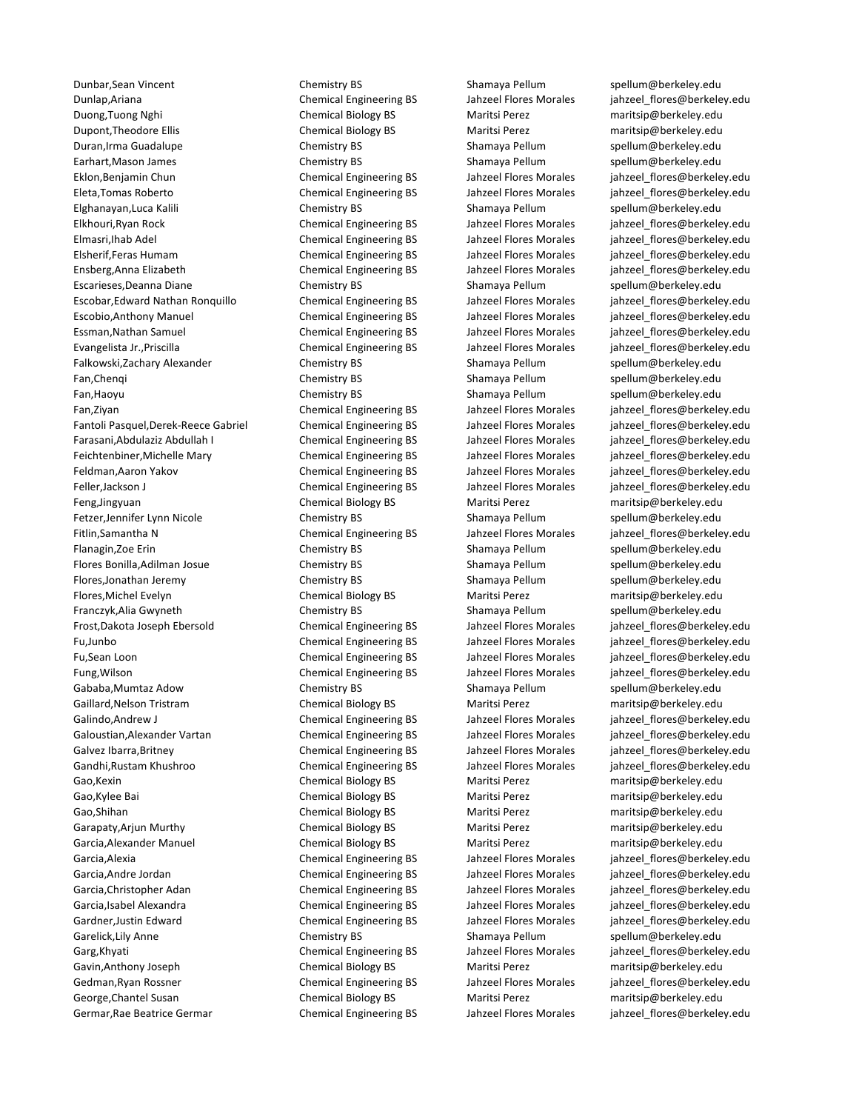Dunbar,Sean Vincent Chemistry BS Shamaya Pellum [spellum@berkeley.edu](mailto:jahzeel_flores@berkeley.edu) Dunlap,Ariana Chemical Engineering BS Jahzeel Flores Morales [jahzeel\\_flores@berkeley.edu](mailto:jahzeel_flores@berkeley.edu) Duong,Tuong Nghi Chemical Biology BS Maritsi Perez [maritsip@berkeley.edu](mailto:jahzeel_flores@berkeley.edu) Dupont,Theodore Ellis Chemical Biology BS Maritsi Perez [maritsip@berkeley.edu](mailto:jahzeel_flores@berkeley.edu) Duran,Irma Guadalupe Chemistry BS Shamaya Pellum [spellum@berkeley.edu](mailto:jahzeel_flores@berkeley.edu) Earhart,Mason James Chemistry BS Shamaya Pellum [spellum@berkeley.edu](mailto:jahzeel_flores@berkeley.edu) Eklon,Benjamin Chun Chemical Engineering BS Jahzeel Flores Morales [jahzeel\\_flores@berkeley.edu](mailto:jahzeel_flores@berkeley.edu) Eleta,Tomas Roberto Chemical Engineering BS Jahzeel Flores Morales [jahzeel\\_flores@berkeley.edu](mailto:jahzeel_flores@berkeley.edu) Elghanayan,Luca Kalili Chemistry BS Shamaya Pellum [spellum@berkeley.edu](mailto:jahzeel_flores@berkeley.edu) Elkhouri,Ryan Rock Chemical Engineering BS Jahzeel Flores Morales [jahzeel\\_flores@berkeley.edu](mailto:jahzeel_flores@berkeley.edu) Elmasri,Ihab Adel Chemical Engineering BS Jahzeel Flores Morales [jahzeel\\_flores@berkeley.edu](mailto:jahzeel_flores@berkeley.edu) Elsherif,Feras Humam Chemical Engineering BS Jahzeel Flores Morales [jahzeel\\_flores@berkeley.edu](mailto:jahzeel_flores@berkeley.edu) Ensberg,Anna Elizabeth Chemical Engineering BS Jahzeel Flores Morales [jahzeel\\_flores@berkeley.edu](mailto:jahzeel_flores@berkeley.edu) Escarieses,Deanna Diane Chemistry BS Shamaya Pellum [spellum@berkeley.edu](mailto:jahzeel_flores@berkeley.edu)<br>Escobar.Edward Nathan Ronguillo Chemical Engineering BS Jahzeel Flores Morales iahzeel flores@berkele Escobar,Edward Nathan Ronquillo Chemical Engineering BS Jahzeel Flores Morales [jahzeel\\_flores@berkeley.edu](mailto:jahzeel_flores@berkeley.edu) Escobio,Anthony Manuel Chemical Engineering BS Jahzeel Flores Morales [jahzeel\\_flores@berkeley.edu](mailto:jahzeel_flores@berkeley.edu) Essman,Nathan Samuel Chemical Engineering BS Jahzeel Flores Morales [jahzeel\\_flores@berkeley.edu](mailto:jahzeel_flores@berkeley.edu) Evangelista Jr.,Priscilla Chemical Engineering BS Jahzeel Flores Morales [jahzeel\\_flores@berkeley.edu](mailto:jahzeel_flores@berkeley.edu) Falkowski,Zachary Alexander Chemistry BS Shamaya Pellum [spellum@berkeley.edu](mailto:jahzeel_flores@berkeley.edu) Fan,Chengi **Emiliary BS** Shamaya Pellum [spellum@berkeley.edu](mailto:jahzeel_flores@berkeley.edu) Fan,Haoyu **Shamaya Pellum** Spellum Spellum Spellum Shamaya Pellum [spellum@berkeley.edu](mailto:jahzeel_flores@berkeley.edu) Fan,Ziyan Chemical Engineering BS Jahzeel Flores Morales [jahzeel\\_flores@berkeley.edu](mailto:jahzeel_flores@berkeley.edu) Fantoli Pasquel,Derek-Reece Gabriel Chemical Engineering BS Jahzeel Flores Morales [jahzeel\\_flores@berkeley.edu](mailto:jahzeel_flores@berkeley.edu) Farasani,Abdulaziz Abdullah I Chemical Engineering BS Jahzeel Flores Morales jahzeel flores@berkeley.edu Feichtenbiner, Michelle Mary Chemical Engineering BS Jahzeel Flores Morales jahzeel flores@berkeley.edu Feldman,Aaron Yakov Chemical Engineering BS Jahzeel Flores Morales [jahzeel\\_flores@berkeley.edu](mailto:jahzeel_flores@berkeley.edu) Feller,Jackson J Chemical Engineering BS Jahzeel Flores Morales [jahzeel\\_flores@berkeley.edu](mailto:jahzeel_flores@berkeley.edu) Feng,Jingyuan Chemical Biology BS Maritsi Perez [maritsip@berkeley.edu](mailto:jahzeel_flores@berkeley.edu) Fetzer,Jennifer Lynn Nicole Chemistry BS Shamaya Pellum [spellum@berkeley.edu](mailto:jahzeel_flores@berkeley.edu) Fitlin,Samantha N Chemical Engineering BS Jahzeel Flores Morales inhzeel flores@berkeley.edu Flanagin,Zoe Erin **Shamaya Pellum Shamaya Pellum** Spellum enterprises spellum enterprises and the Chemistry BS Shamaya Pellum Spellum @berkeley.edu Flores Bonilla,Adilman Josue **Chemistry BS** Shamaya Pellum [spellum@berkeley.edu](mailto:jahzeel_flores@berkeley.edu) Flores,Jonathan Jeremy Chemistry BS Shamaya Pellum [spellum@berkeley.edu](mailto:jahzeel_flores@berkeley.edu) Flores,Michel Evelyn Chemical Biology BS Maritsi Perez [maritsip@berkeley.edu](mailto:jahzeel_flores@berkeley.edu) Franczyk,Alia Gwyneth **Chemistry BS** Shamaya Pellum [spellum@berkeley.edu](mailto:jahzeel_flores@berkeley.edu) Frost,Dakota Joseph Ebersold Chemical Engineering BS Jahzeel Flores Morales [jahzeel\\_flores@berkeley.edu](mailto:jahzeel_flores@berkeley.edu) Fu,Junbo Chemical Engineering BS Jahzeel Flores Morales [jahzeel\\_flores@berkeley.edu](mailto:jahzeel_flores@berkeley.edu) Fu,Sean Loon Chemical Engineering BS Jahzeel Flores Morales [jahzeel\\_flores@berkeley.edu](mailto:jahzeel_flores@berkeley.edu) Fung, Wilson Chemical Engineering BS Jahzeel Flores Morales inhzeel flores@berkeley.edu Gababa,Mumtaz Adow **Shamaya Pellum Shamaya Pellum** Spellum [spellum@berkeley.edu](mailto:jahzeel_flores@berkeley.edu) Gaillard, Nelson Tristram Chemical Biology BS Maritsi Perez [maritsip@berkeley.edu](mailto:jahzeel_flores@berkeley.edu) Galindo,Andrew J Chemical Engineering BS Jahzeel Flores Morales jahzeel flores@berkeley.edu Galoustian,Alexander Vartan Chemical Engineering BS Jahzeel Flores Morales [jahzeel\\_flores@berkeley.edu](mailto:jahzeel_flores@berkeley.edu) Galvez Ibarra, Britney The Chemical Engineering BS Jahzeel Flores Morales jahzeel flores@berkeley.edu Gandhi,Rustam Khushroo Chemical Engineering BS Jahzeel Flores Morales [jahzeel\\_flores@berkeley.edu](mailto:jahzeel_flores@berkeley.edu) Gao,Kexin **Chemical Biology BS** Maritsi Perez [maritsip@berkeley.edu](mailto:jahzeel_flores@berkeley.edu) Gao.Kylee Bai Sanda Chemical Biology BS Maritsi Perez [maritsip@berkeley.edu](mailto:jahzeel_flores@berkeley.edu) Gao,Shihan Chemical Biology BS Maritsi Perez [maritsip@berkeley.edu](mailto:jahzeel_flores@berkeley.edu) Garapaty,Arjun Murthy **Chemical Biology BS** Maritsi Perez [maritsip@berkeley.edu](mailto:jahzeel_flores@berkeley.edu) Garcia,Alexander Manuel Chemical Biology BS Maritsi Perez [maritsip@berkeley.edu](mailto:jahzeel_flores@berkeley.edu) Garcia,Alexia Chemical Engineering BS Jahzeel Flores Morales jahzeel flores@berkeley.edu Garcia,Andre Jordan Theorem Chemical Engineering BS Jahzeel Flores Morales inhzeel flores@berkeley.edu Garcia,Christopher Adan Chemical Engineering BS Jahzeel Flores Morales jahzeel flores@berkeley.edu Garcia,Isabel Alexandra **Chemical Engineering BS** Jahzeel Flores Morales [jahzeel\\_flores@berkeley.edu](mailto:jahzeel_flores@berkeley.edu) Gardner,Justin Edward Chemical Engineering BS Jahzeel Flores Morales [jahzeel\\_flores@berkeley.edu](mailto:jahzeel_flores@berkeley.edu) Garelick,Lily Anne **Shamaya Pellum Shamaya Pellum** Spellum Spellum **Shamaya Pellum** Spellum @berkeley.edu Garg,Khyati Chemical Engineering BS Jahzeel Flores Morales jahzeel flores@berkeley.edu Gavin,Anthony Joseph Chemical Biology BS Maritsi Perez [maritsip@berkeley.edu](mailto:jahzeel_flores@berkeley.edu) Gedman, Ryan Rossner **Chemical Engineering BS** Jahzeel Flores Morales inhzeel flores@berkeley.edu George,Chantel Susan **Chemical Biology BS** Maritsi Perez [maritsip@berkeley.edu](mailto:jahzeel_flores@berkeley.edu) Germar,Rae Beatrice Germar **Chemical Engineering BS** Jahzeel Flores Morales jahzeel flores@berkeley.edu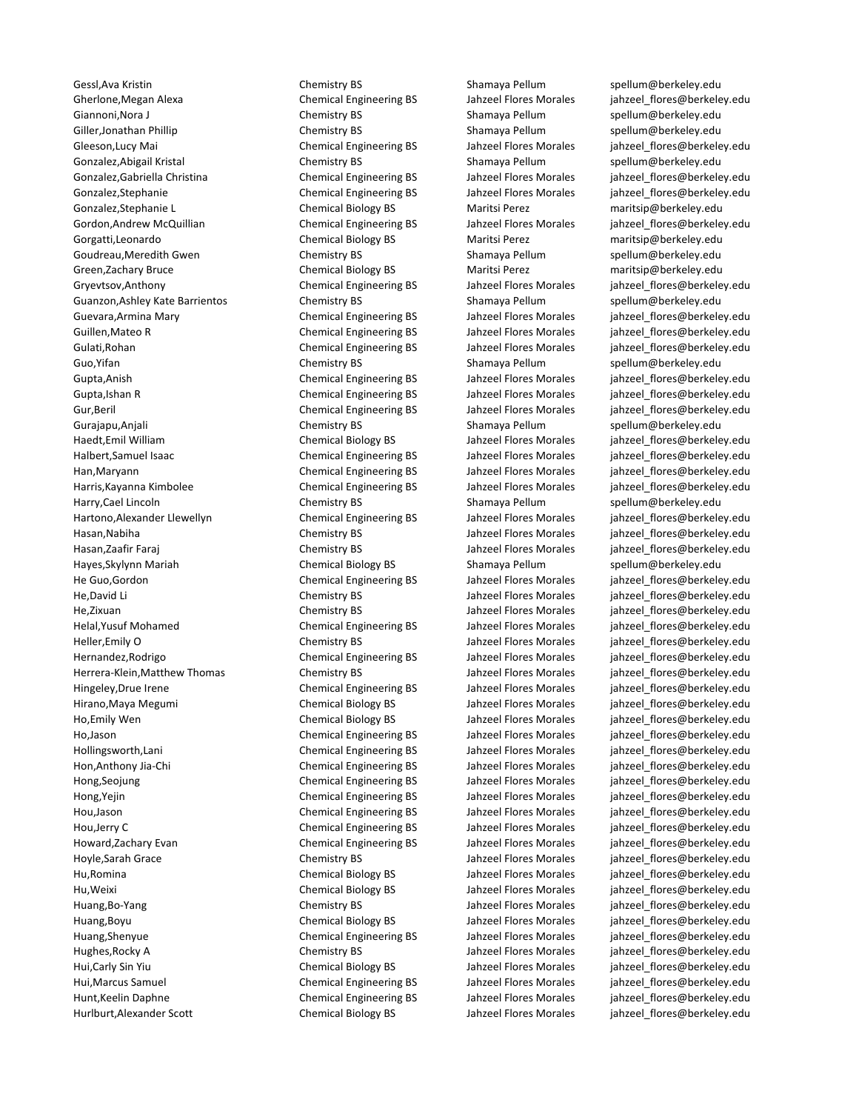Gessl,Ava Kristin **Shamaya Example 2018** Chemistry BS Shamaya Pellum Spellum@berkeley.edu Gherlone, Megan Alexa Chemical Engineering BS Jahzeel Flores Morales inhzeel flores@berkeley.edu Giannoni.Nora J Chemistry BS Shamaya Pellum [spellum@berkeley.edu](mailto:jahzeel_flores@berkeley.edu) Giller,Jonathan Phillip Chemistry BS Shamaya Pellum [spellum@berkeley.edu](mailto:jahzeel_flores@berkeley.edu) Gleeson,Lucy Mai **Chemical Engineering BS** Jahzeel Flores Morales jahzeel flores@berkeley.edu Gonzalez,Abigail Kristal **Shamaya Pellum Shamaya Pellum** Spellum et Shamaya Pellum [spellum@berkeley.edu](mailto:jahzeel_flores@berkeley.edu) Gonzalez,Gabriella Christina Chemical Engineering BS Jahzeel Flores Morales jahzeel flores@berkeley.edu Gonzalez,Stephanie **Chemical Engineering BS** Jahzeel Flores Morales inhzeel flores@berkeley.edu Gonzalez,Stephanie L Chemical Biology BS Maritsi Perez [maritsip@berkeley.edu](mailto:jahzeel_flores@berkeley.edu) Gordon,Andrew McQuillian Chemical Engineering BS Jahzeel Flores Morales [jahzeel\\_flores@berkeley.edu](mailto:jahzeel_flores@berkeley.edu) Gorgatti,Leonardo **Chemical Biology BS** Maritsi Perez [maritsip@berkeley.edu](mailto:jahzeel_flores@berkeley.edu) Goudreau, Meredith Gwen Chemistry BS Shamaya Pellum [spellum@berkeley.edu](mailto:jahzeel_flores@berkeley.edu) Green,Zachary Bruce **Chemical Biology BS** Maritsi Perez [maritsip@berkeley.edu](mailto:jahzeel_flores@berkeley.edu) Gryevtsov,Anthony Chemical Engineering BS Jahzeel Flores Morales iahzeel flores@berkeley.edu Guanzon,Ashley Kate Barrientos Chemistry BS Shamaya Pellum [spellum@berkeley.edu](mailto:jahzeel_flores@berkeley.edu) Guevara,Armina Mary Chemical Engineering BS Jahzeel Flores Morales [jahzeel\\_flores@berkeley.edu](mailto:jahzeel_flores@berkeley.edu) Guillen, Mateo R Chemical Engineering BS Jahzeel Flores Morales jahzeel flores@berkeley.edu Gulati,Rohan Chemical Engineering BS Jahzeel Flores Morales jahzeel flores@berkeley.edu Guo, Yifan Shamaya Pellum Shamaya Pellum Shamaya Pellum Shamaya Pellum Shamaya Pellum Shamaya Pellum Aberkeley.edu Gupta,Anish Chemical Engineering BS Jahzeel Flores Morales [jahzeel\\_flores@berkeley.edu](mailto:jahzeel_flores@berkeley.edu) Gupta,Ishan R Chemical Engineering BS Jahzeel Flores Morales [jahzeel\\_flores@berkeley.edu](mailto:jahzeel_flores@berkeley.edu) Gur,Beril **Chemical Engineering BS** Jahzeel Flores Morales jahzeel flores@berkeley.edu Gurajapu,Anjali Shamaya Pellum Shamaya Pellum [spellum@berkeley.edu](mailto:jahzeel_flores@berkeley.edu) Haedt,Emil William Chemical Biology BS Jahzeel Flores Morales jahzeel flores@berkeley.edu Halbert,Samuel Isaac **Chemical Engineering BS** Jahzeel Flores Morales jahzeel flores@berkeley.edu Han,Maryann Chemical Engineering BS Jahzeel Flores Morales [jahzeel\\_flores@berkeley.edu](mailto:jahzeel_flores@berkeley.edu) Harris,Kayanna Kimbolee Chemical Engineering BS Jahzeel Flores Morales [jahzeel\\_flores@berkeley.edu](mailto:jahzeel_flores@berkeley.edu) Harry,Cael Lincoln **Exercise Shamaya Pellum** Shamaya Pellum [spellum@berkeley.edu](mailto:jahzeel_flores@berkeley.edu) Hartono,Alexander Llewellyn Chemical Engineering BS Jahzeel Flores Morales [jahzeel\\_flores@berkeley.edu](mailto:jahzeel_flores@berkeley.edu) Hasan,Nabiha Chemistry BS Jahzeel Flores Morales [jahzeel\\_flores@berkeley.edu](mailto:jahzeel_flores@berkeley.edu) Hasan,Zaafir Faraj Chemistry BS Jahzeel Flores Morales [jahzeel\\_flores@berkeley.edu](mailto:jahzeel_flores@berkeley.edu) Hayes,Skylynn Mariah **Shamaya Pellum Chemical Biology BS** Shamaya Pellum [spellum@berkeley.edu](mailto:spellum@berkeley.edu) He Guo,Gordon Chemical Engineering BS Jahzeel Flores Morales [jahzeel\\_flores@berkeley.edu](mailto:jahzeel_flores@berkeley.edu) He,David Li Chemistry BS Jahzeel Flores Morales [jahzeel\\_flores@berkeley.edu](mailto:jahzeel_flores@berkeley.edu) He,Zixuan Chemistry BS Jahzeel Flores Morales [jahzeel\\_flores@berkeley.edu](mailto:jahzeel_flores@berkeley.edu) Helal,Yusuf Mohamed Chemical Engineering BS Jahzeel Flores Morales [jahzeel\\_flores@berkeley.edu](mailto:jahzeel_flores@berkeley.edu) Heller,Emily O Chemistry BS Jahzeel Flores Morales [jahzeel\\_flores@berkeley.edu](mailto:jahzeel_flores@berkeley.edu) Hernandez,Rodrigo Chemical Engineering BS Jahzeel Flores Morales [jahzeel\\_flores@berkeley.edu](mailto:jahzeel_flores@berkeley.edu) Herrera-Klein,Matthew Thomas Chemistry BS Jahzeel Flores Morales jahzeel flores@berkeley.edu Hingeley,Drue Irene Chemical Engineering BS Jahzeel Flores Morales [jahzeel\\_flores@berkeley.edu](mailto:jahzeel_flores@berkeley.edu) Hirano,Maya Megumi Chemical Biology BS Jahzeel Flores Morales [jahzeel\\_flores@berkeley.edu](mailto:jahzeel_flores@berkeley.edu) Ho,Emily Wen Chemical Biology BS Jahzeel Flores Morales [jahzeel\\_flores@berkeley.edu](mailto:jahzeel_flores@berkeley.edu) Ho,Jason Chemical Engineering BS Jahzeel Flores Morales [jahzeel\\_flores@berkeley.edu](mailto:jahzeel_flores@berkeley.edu) Hollingsworth,Lani Chemical Engineering BS Jahzeel Flores Morales [jahzeel\\_flores@berkeley.edu](mailto:jahzeel_flores@berkeley.edu) Hon,Anthony Jia-Chi Chemical Engineering BS Jahzeel Flores Morales [jahzeel\\_flores@berkeley.edu](mailto:jahzeel_flores@berkeley.edu) Hong,Seojung Chemical Engineering BS Jahzeel Flores Morales jahzeel flores@berkeley.edu Hong,Yejin **Chemical Engineering BS** Jahzeel Flores Morales inhabeel flores@berkeley.edu Hou,Jason Chemical Engineering BS Jahzeel Flores Morales [jahzeel\\_flores@berkeley.edu](mailto:jahzeel_flores@berkeley.edu) Hou,Jerry C Chemical Engineering BS Jahzeel Flores Morales [jahzeel\\_flores@berkeley.edu](mailto:jahzeel_flores@berkeley.edu) Howard,Zachary Evan Chemical Engineering BS Jahzeel Flores Morales [jahzeel\\_flores@berkeley.edu](mailto:jahzeel_flores@berkeley.edu) Hoyle,Sarah Grace Chemistry BS Jahzeel Flores Morales [jahzeel\\_flores@berkeley.edu](mailto:jahzeel_flores@berkeley.edu) Hu,Romina Chemical Biology BS Jahzeel Flores Morales [jahzeel\\_flores@berkeley.edu](mailto:jahzeel_flores@berkeley.edu) Hu,Weixi Chemical Biology BS Jahzeel Flores Morales [jahzeel\\_flores@berkeley.edu](mailto:jahzeel_flores@berkeley.edu) Huang,Bo-Yang Chemistry BS Jahzeel Flores Morales [jahzeel\\_flores@berkeley.edu](mailto:jahzeel_flores@berkeley.edu) Huang,Boyu Chemical Biology BS Jahzeel Flores Morales [jahzeel\\_flores@berkeley.edu](mailto:jahzeel_flores@berkeley.edu) Huang,Shenyue Chemical Engineering BS Jahzeel Flores Morales [jahzeel\\_flores@berkeley.edu](mailto:jahzeel_flores@berkeley.edu) Hughes,Rocky A Chemistry BS Jahzeel Flores Morales [jahzeel\\_flores@berkeley.edu](mailto:jahzeel_flores@berkeley.edu) Hui,Carly Sin Yiu Chemical Biology BS Jahzeel Flores Morales [jahzeel\\_flores@berkeley.edu](mailto:jahzeel_flores@berkeley.edu) Hui,Marcus Samuel Chemical Engineering BS Jahzeel Flores Morales [jahzeel\\_flores@berkeley.edu](mailto:jahzeel_flores@berkeley.edu) Hunt,Keelin Daphne Chemical Engineering BS Jahzeel Flores Morales [jahzeel\\_flores@berkeley.edu](mailto:jahzeel_flores@berkeley.edu) Hurlburt,Alexander Scott Chemical Biology BS Jahzeel Flores Morales [jahzeel\\_flores@berkeley.edu](mailto:jahzeel_flores@berkeley.edu)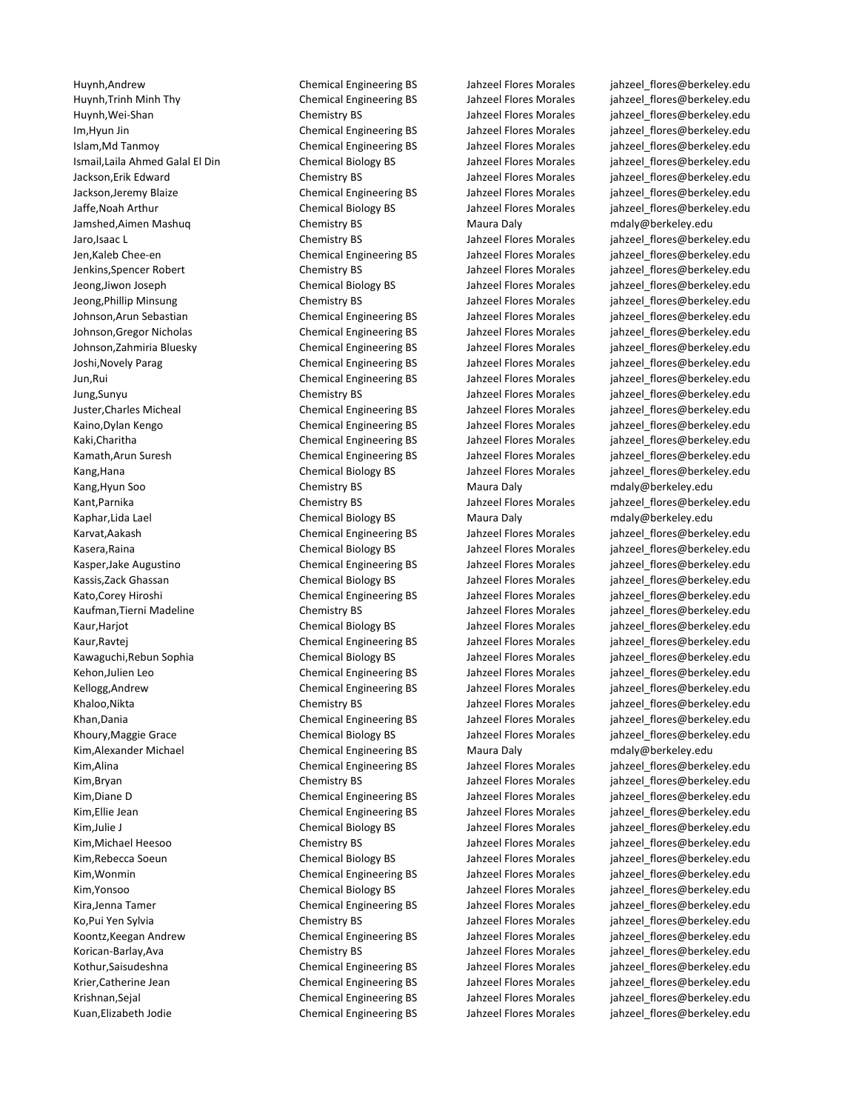Huynh,Andrew Chemical Engineering BS Jahzeel Flores Morales [jahzeel\\_flores@berkeley.edu](mailto:jahzeel_flores@berkeley.edu) Jamshed,Aimen Mashuq Chemistry BS Maura Daly [mdaly@berkeley.edu](mailto:jahzeel_flores@berkeley.edu) Kang, Hyun Soo **Chemistry BS** Maura Daly [mdaly@berkeley.edu](mailto:jahzeel_flores@berkeley.edu) Kaphar,Lida Lael **Chemical Biology BS** Maura Daly [mdaly@berkeley.edu](mailto:mdaly@berkeley.edu) Maura Daly Kim,Alexander Michael **Chemical Engineering BS** Maura Daly modaly@berkeley.edu Kim,Alina Sumbootal Engineering BS Jahzeel Flores Morales jahzeel flores@berkeley.edu

Huynh,Trinh Minh Thy Chemical Engineering BS Jahzeel Flores Morales [jahzeel\\_flores@berkeley.edu](mailto:jahzeel_flores@berkeley.edu) Huynh,Wei-Shan Chemistry BS Jahzeel Flores Morales [jahzeel\\_flores@berkeley.edu](mailto:jahzeel_flores@berkeley.edu) Im,Hyun Jin Chemical Engineering BS Jahzeel Flores Morales [jahzeel\\_flores@berkeley.edu](mailto:jahzeel_flores@berkeley.edu) Islam,Md Tanmoy Chemical Engineering BS Jahzeel Flores Morales [jahzeel\\_flores@berkeley.edu](mailto:jahzeel_flores@berkeley.edu) Ismail,Laila Ahmed Galal El Din Chemical Biology BS Jahzeel Flores Morales [jahzeel\\_flores@berkeley.edu](mailto:jahzeel_flores@berkeley.edu) Jackson,Erik Edward Chemistry BS Jahzeel Flores Morales [jahzeel\\_flores@berkeley.edu](mailto:jahzeel_flores@berkeley.edu) Jackson,Jeremy Blaize Chemical Engineering BS Jahzeel Flores Morales [jahzeel\\_flores@berkeley.edu](mailto:jahzeel_flores@berkeley.edu) Jaffe,Noah Arthur Chemical Biology BS Jahzeel Flores Morales [jahzeel\\_flores@berkeley.edu](mailto:jahzeel_flores@berkeley.edu) Jaro,Isaac L Chemistry BS Jahzeel Flores Morales [jahzeel\\_flores@berkeley.edu](mailto:jahzeel_flores@berkeley.edu) Jen,Kaleb Chee-en Chemical Engineering BS Jahzeel Flores Morales [jahzeel\\_flores@berkeley.edu](mailto:jahzeel_flores@berkeley.edu) Jenkins,Spencer Robert Chemistry BS Jahzeel Flores Morales [jahzeel\\_flores@berkeley.edu](mailto:jahzeel_flores@berkeley.edu) Jeong,Jiwon Joseph Chemical Biology BS Jahzeel Flores Morales [jahzeel\\_flores@berkeley.edu](mailto:jahzeel_flores@berkeley.edu)<br>Jeong,Phillip Minsung Chemistry BS Jahzeel Flores Morales jahzeel flores@berkeley.edu Chemistry BS Jahzeel Flores Morales [jahzeel\\_flores@berkeley.edu](mailto:jahzeel_flores@berkeley.edu) Johnson,Arun Sebastian Chemical Engineering BS Jahzeel Flores Morales [jahzeel\\_flores@berkeley.edu](mailto:jahzeel_flores@berkeley.edu) Johnson,Gregor Nicholas Chemical Engineering BS Jahzeel Flores Morales [jahzeel\\_flores@berkeley.edu](mailto:jahzeel_flores@berkeley.edu) Johnson,Zahmiria Bluesky Chemical Engineering BS Jahzeel Flores Morales [jahzeel\\_flores@berkeley.edu](mailto:jahzeel_flores@berkeley.edu) Joshi,Novely Parag Chemical Engineering BS Jahzeel Flores Morales [jahzeel\\_flores@berkeley.edu](mailto:jahzeel_flores@berkeley.edu) Jun,Rui Chemical Engineering BS Jahzeel Flores Morales [jahzeel\\_flores@berkeley.edu](mailto:jahzeel_flores@berkeley.edu) Jung,Sunyu Chemistry BS Jahzeel Flores Morales [jahzeel\\_flores@berkeley.edu](mailto:jahzeel_flores@berkeley.edu) Juster,Charles Micheal Chemical Engineering BS Jahzeel Flores Morales [jahzeel\\_flores@berkeley.edu](mailto:jahzeel_flores@berkeley.edu) Kaino,Dylan Kengo **Chemical Engineering BS** Jahzeel Flores Morales jahzeel flores@berkeley.edu Kaki,Charitha Chemical Engineering BS Jahzeel Flores Morales jahzeel flores@berkeley.edu Kamath,Arun Suresh Chemical Engineering BS Jahzeel Flores Morales jahzeel flores@berkeley.edu Kang,Hana Chemical Biology BS Jahzeel Flores Morales jahzeel flores@berkeley.edu Kant,Parnika Chemistry BS Jahzeel Flores Morales jahzeel flores@berkeley.edu Karvat,Aakash Chemical Engineering BS Jahzeel Flores Morales inhzeel flores@berkeley.edu

Kasera,Raina Chemical Biology BS Jahzeel Flores Morales [jahzeel\\_flores@berkeley.edu](mailto:jahzeel_flores@berkeley.edu) Kasper,Jake Augustino Chemical Engineering BS Jahzeel Flores Morales [jahzeel\\_flores@berkeley.edu](mailto:jahzeel_flores@berkeley.edu) Kassis,Zack Ghassan **Chemical Biology BS** Jahzeel Flores Morales jahzeel flores@berkeley.edu Kato,Corey Hiroshi **Chemical Engineering BS** Jahzeel Flores Morales jahzeel flores@berkeley.edu Kaufman,Tierni Madeline Chemistry BS Chemistry BS Jahzeel Flores Morales inhzeel flores@berkeley.edu Kaur,Harjot Chemical Biology BS Jahzeel Flores Morales jahzeel flores@berkeley.edu Kaur, Ravtej **Chemical Engineering BS** Jahzeel Flores Morales jahzeel flores@berkeley.edu Kawaguchi,Rebun Sophia Chemical Biology BS Jahzeel Flores Morales jahzeel flores@berkeley.edu Kehon,Julien Leo **Chemical Engineering BS** Jahzeel Flores Morales [jahzeel\\_flores@berkeley.edu](mailto:jahzeel_flores@berkeley.edu) Kellogg,Andrew Chemical Engineering BS Jahzeel Flores Morales [jahzeel\\_flores@berkeley.edu](mailto:jahzeel_flores@berkeley.edu) Khaloo,Nikta **Chemistry BS** Jahzeel Flores Morales jahzeel flores@berkeley.edu Khan,Dania **Chemical Engineering BS** Jahzeel Flores Morales inhzeel flores@berkeley.edu Khoury,Maggie Grace **Chemical Biology BS** Jahzeel Flores Morales [jahzeel\\_flores@berkeley.edu](mailto:jahzeel_flores@berkeley.edu)

Kim,Bryan Chemistry BS Jahzeel Flores Morales jahzeel flores@berkeley.edu Kim,Diane D Chemical Engineering BS Jahzeel Flores Morales jahzeel flores@berkeley.edu Kim,Ellie Jean **Chemical Engineering BS** Jahzeel Flores Morales jahzeel flores@berkeley.edu Kim,Julie J Chemical Biology BS Jahzeel Flores Morales jahzeel flores@berkeley.edu Kim,Michael Heesoo Sand Chemistry BS Jahzeel Flores Morales jahzeel flores@berkeley.edu Kim,Rebecca Soeun Chemical Biology BS Jahzeel Flores Morales jahzeel flores@berkeley.edu Kim, Wonmin Summer Chemical Engineering BS Jahzeel Flores Morales jahzeel flores@berkeley.edu Kim, Yonsoo Shangaboo Chemical Biology BS Jahzeel Flores Morales jahzeel flores@berkeley.edu Kira,Jenna Tamer Tamer Chemical Engineering BS Jahzeel Flores Morales [jahzeel\\_flores@berkeley.edu](mailto:jahzeel_flores@berkeley.edu) Ko,Pui Yen Sylvia **Sylvia** Chemistry BS Jahzeel Flores Morales jahzeel flores@berkeley.edu Koontz,Keegan Andrew Chemical Engineering BS Jahzeel Flores Morales [jahzeel\\_flores@berkeley.edu](mailto:jahzeel_flores@berkeley.edu) Korican-Barlay,Ava Chemistry BS Jahzeel Flores Morales jahzeel flores@berkeley.edu Kothur,Saisudeshna Chemical Engineering BS Jahzeel Flores Morales jahzeel flores@berkeley.edu Krier,Catherine Jean Chemical Engineering BS Jahzeel Flores Morales inhzeel flores@berkeley.edu Krishnan,Sejal Chemical Engineering BS Jahzeel Flores Morales [jahzeel\\_flores@berkeley.edu](mailto:jahzeel_flores@berkeley.edu) Kuan,Elizabeth Jodie Chemical Engineering BS Jahzeel Flores Morales [jahzeel\\_flores@berkeley.edu](mailto:jahzeel_flores@berkeley.edu)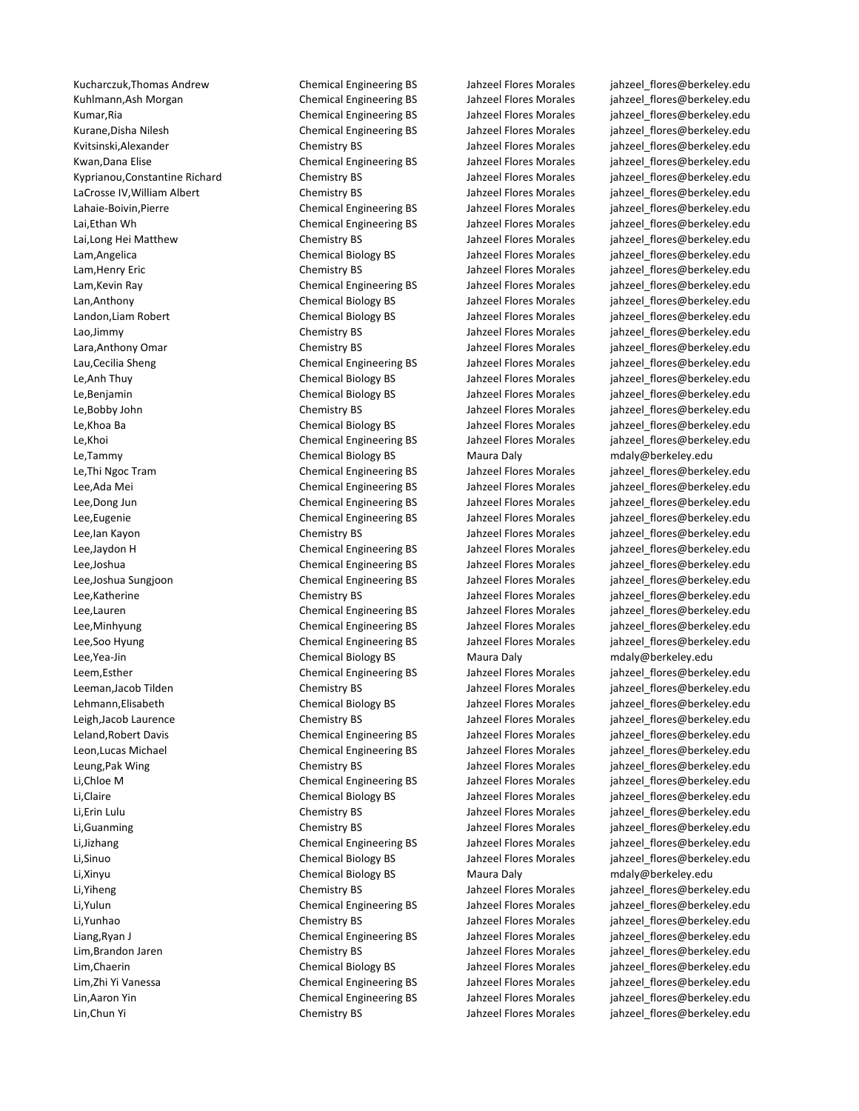Kucharczuk,Thomas Andrew Chemical Engineering BS Jahzeel Flores Morales [jahzeel\\_flores@berkeley.edu](mailto:jahzeel_flores@berkeley.edu) Le,Tammy Chemical Biology BS Maura Daly mdaly@berkeley.edu Le,Thi Ngoc Tram Chemical Engineering BS Jahzeel Flores Morales jahzeel\_flores@berkeley.edu Lee,Yea-Jin Chemical Biology BS Maura Daly mdaly@berkeley.edu Li,Xinyu Chemical Biology BS Maura Daly mdaly@berkeley.edu Li,Yiheng Chemistry BS Jahzeel Flores Morales jahzeel\_flores@berkeley.edu

Kuhlmann,Ash Morgan Themical Engineering BS Jahzeel Flores Morales jahzeel flores@berkeley.edu Kumar,Ria Chemical Engineering BS Jahzeel Flores Morales [jahzeel\\_flores@berkeley.edu](mailto:jahzeel_flores@berkeley.edu)<br>Kurane.Disha Nilesh Sandar Schemical Engineering BS Jahzeel Flores Morales iahzeel flores@berkeley.edu Kurane,Disha Nilesh Chemical Engineering BS Jahzeel Flores Morales jahzeel flores@berkeley.edu Kvitsinski,Alexander The Chemistry BS Jahzeel Flores Morales jahzeel flores@berkeley.edu Kwan,Dana Elise **Chemical Engineering BS** Jahzeel Flores Morales [jahzeel\\_flores@berkeley.edu](mailto:jahzeel_flores@berkeley.edu) Kyprianou,Constantine Richard Chemistry BS Jahzeel Flores Morales jahzeel flores@berkeley.edu LaCrosse IV,William Albert Chemistry BS Jahzeel Flores Morales [jahzeel\\_flores@berkeley.edu](mailto:jahzeel_flores@berkeley.edu) Lahaie-Boivin,Pierre Chemical Engineering BS Jahzeel Flores Morales [jahzeel\\_flores@berkeley.edu](mailto:jahzeel_flores@berkeley.edu) Lai,Ethan Wh Chemical Engineering BS Jahzeel Flores Morales [jahzeel\\_flores@berkeley.edu](mailto:jahzeel_flores@berkeley.edu) Lai,Long Hei Matthew Chemistry BS Jahzeel Flores Morales [jahzeel\\_flores@berkeley.edu](mailto:jahzeel_flores@berkeley.edu) Lam,Angelica Chemical Biology BS Jahzeel Flores Morales [jahzeel\\_flores@berkeley.edu](mailto:jahzeel_flores@berkeley.edu) Lam,Henry Eric Chemistry BS Jahzeel Flores Morales [jahzeel\\_flores@berkeley.edu](mailto:jahzeel_flores@berkeley.edu) Lam,Kevin Ray The Chemical Engineering BS Jahzeel Flores Morales [jahzeel\\_flores@berkeley.edu](mailto:jahzeel_flores@berkeley.edu)<br>Lan.Anthony Chemical Biology BS Jahzeel Flores Morales iahzeel flores@berkeley.edu Lan,Anthony Chemical Biology BS Jahzeel Flores Morales [jahzeel\\_flores@berkeley.edu](mailto:jahzeel_flores@berkeley.edu) Landon,Liam Robert Chemical Biology BS Jahzeel Flores Morales jahzeel\_flores@berkeley.edu Lao,Jimmy Chemistry BS Jahzeel Flores Morales jahzeel flores@berkeley.edu Lara,Anthony Omar Chemistry BS Jahzeel Flores Morales jahzeel\_flores@berkeley.edu Lau,Cecilia Sheng Chemical Engineering BS Jahzeel Flores Morales inhzeel flores@berkeley.edu Le,Anh Thuy Chemical Biology BS Jahzeel Flores Morales jahzeel\_flores@berkeley.edu Le,Benjamin Chemical Biology BS Jahzeel Flores Morales jahzeel\_flores@berkeley.edu Le,Bobby John Chemistry BS Jahzeel Flores Morales jahzeel\_flores@berkeley.edu Le,Khoa Ba Chemical Biology BS Jahzeel Flores Morales jahzeel\_flores@berkeley.edu Le,Khoi Chemical Engineering BS Jahzeel Flores Morales jahzeel\_flores@berkeley.edu

Lee,Ada Mei Chemical Engineering BS Jahzeel Flores Morales jahzeel\_flores@berkeley.edu Lee,Dong Jun Chemical Engineering BS Jahzeel Flores Morales jahzeel flores@berkeley.edu Lee,Eugenie Chemical Engineering BS Jahzeel Flores Morales jahzeel\_flores@berkeley.edu Lee,Ian Kayon Chemistry BS Jahzeel Flores Morales jahzeel\_flores@berkeley.edu Lee,Jaydon H Chemical Engineering BS Jahzeel Flores Morales jahzeel\_flores@berkeley.edu Lee,Joshua Chemical Engineering BS Jahzeel Flores Morales jahzeel\_flores@berkeley.edu Lee,Joshua Sungjoon Chemical Engineering BS Jahzeel Flores Morales jahzeel\_flores@berkeley.edu Lee,Katherine Chemistry BS Jahzeel Flores Morales jahzeel\_flores@berkeley.edu Lee,Lauren Chemical Engineering BS Jahzeel Flores Morales jahzeel\_flores@berkeley.edu Lee,Minhyung entity chemical Engineering BS Jahzeel Flores Morales inhzeel flores@berkeley.edu Lee,Soo Hyung entitled the Chemical Engineering BS and the Jahzeel Flores Morales inhabel flores@berkeley.edu

Leem,Esther Chemical Engineering BS Jahzeel Flores Morales jahzeel\_flores@berkeley.edu Leeman,Jacob Tilden Chemistry BS Jahzeel Flores Morales jahzeel\_flores@berkeley.edu Lehmann,Elisabeth Chemical Biology BS Jahzeel Flores Morales jahzeel\_flores@berkeley.edu Leigh,Jacob Laurence Chemistry BS Jahzeel Flores Morales jahzeel\_flores@berkeley.edu Leland,Robert Davis Chemical Engineering BS Jahzeel Flores Morales jahzeel\_flores@berkeley.edu Leon,Lucas Michael Chemical Engineering BS Jahzeel Flores Morales jahzeel\_flores@berkeley.edu Leung,Pak Wing Chemistry BS Jahzeel Flores Morales jahzeel\_flores@berkeley.edu Li,Chloe M Chemical Engineering BS Jahzeel Flores Morales jahzeel\_flores@berkeley.edu Li,Claire Chemical Biology BS Jahzeel Flores Morales jahzeel\_flores@berkeley.edu Li,Erin Lulu Chemistry BS Jahzeel Flores Morales jahzeel\_flores@berkeley.edu Li,Guanming Chemistry BS Jahzeel Flores Morales jahzeel\_flores@berkeley.edu Li,Jizhang Chemical Engineering BS Jahzeel Flores Morales jahzeel\_flores@berkeley.edu Li,Sinuo Chemical Biology BS Jahzeel Flores Morales jahzeel\_flores@berkeley.edu

Li,Yulun Chemical Engineering BS Jahzeel Flores Morales jahzeel\_flores@berkeley.edu Li,Yunhao Chemistry BS Jahzeel Flores Morales jahzeel\_flores@berkeley.edu Liang,Ryan J Chemical Engineering BS Jahzeel Flores Morales jahzeel\_flores@berkeley.edu Lim,Brandon Jaren Chemistry BS Jahzeel Flores Morales jahzeel\_flores@berkeley.edu Lim,Chaerin Chemical Biology BS Jahzeel Flores Morales jahzeel\_flores@berkeley.edu Lim,Zhi Yi Vanessa Chemical Engineering BS Jahzeel Flores Morales jahzeel\_flores@berkeley.edu Lin,Aaron Yin Chemical Engineering BS Jahzeel Flores Morales jahzeel\_flores@berkeley.edu Lin,Chun Yi Chemistry BS Jahzeel Flores Morales jahzeel\_flores@berkeley.edu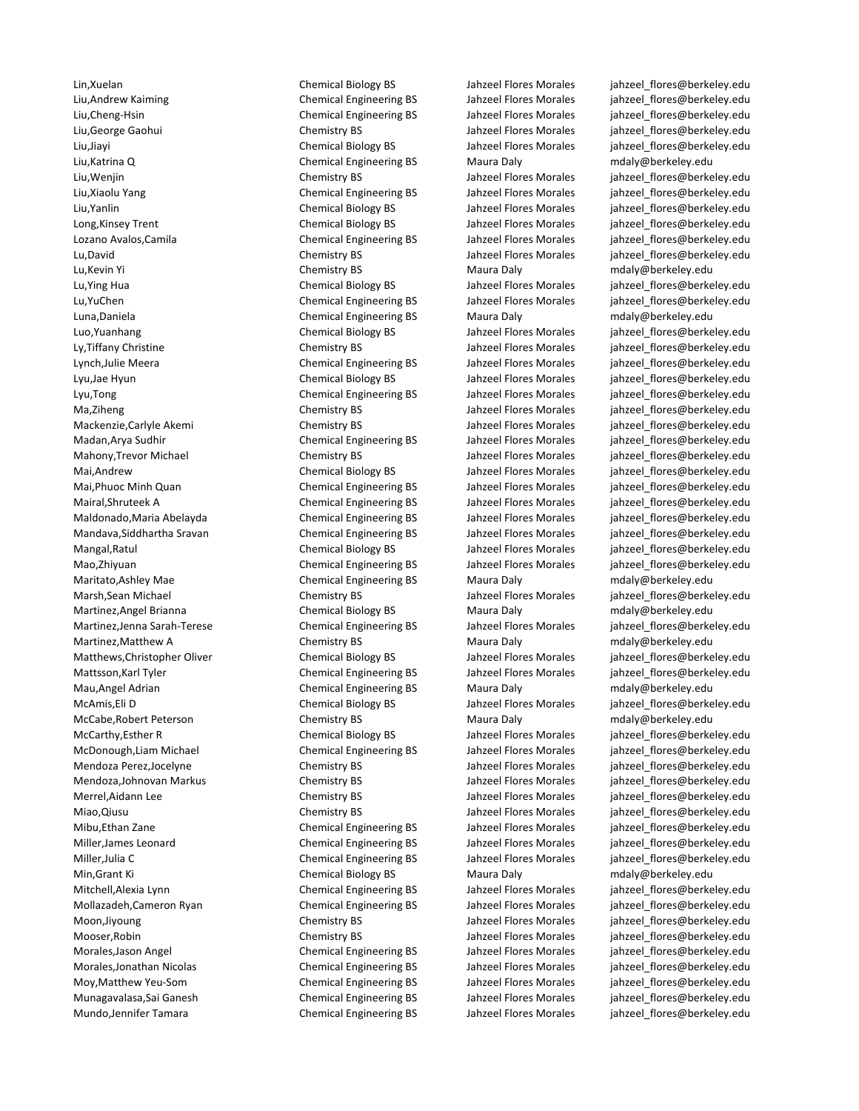Lin,Xuelan Chemical Biology BS Jahzeel Flores Morales jahzeel\_flores@berkeley.edu Liu,Andrew Kaiming Chemical Engineering BS Jahzeel Flores Morales jahzeel\_flores@berkeley.edu Liu,Cheng-Hsin Chemical Engineering BS Jahzeel Flores Morales jahzeel\_flores@berkeley.edu Liu,George Gaohui Chemistry BS Jahzeel Flores Morales jahzeel\_flores@berkeley.edu Liu,Jiayi Chemical Biology BS Jahzeel Flores Morales jahzeel\_flores@berkeley.edu Liu,Katrina Q Chemical Engineering BS Maura Daly [mdaly@berkeley.edu](mailto:mdaly@berkeley.edu) Liu,Wenjin Chemistry BS Jahzeel Flores Morales jahzeel\_flores@berkeley.edu Liu,Xiaolu Yang Chemical Engineering BS Jahzeel Flores Morales jahzeel\_flores@berkeley.edu Liu,Yanlin Chemical Biology BS Jahzeel Flores Morales [jahzeel\\_flores@berkeley.edu](mailto:mdaly@berkeley.edu) Long,Kinsey Trent Chemical Biology BS Jahzeel Flores Morales [jahzeel\\_flores@berkeley.edu](mailto:mdaly@berkeley.edu) Lozano Avalos,Camila Chemical Engineering BS Jahzeel Flores Morales [jahzeel\\_flores@berkeley.edu](mailto:mdaly@berkeley.edu) Lu,David Chemistry BS Jahzeel Flores Morales [jahzeel\\_flores@berkeley.edu](mailto:mdaly@berkeley.edu) Lu,Kevin Yi Chemistry BS Maura Daly [mdaly@berkeley.edu](mailto:mdaly@berkeley.edu) Lu,Ying Hua Chemical Biology BS Jahzeel Flores Morales [jahzeel\\_flores@berkeley.edu](mailto:mdaly@berkeley.edu)<br>Lu,YuChen Chemical Engineering BS Jahzeel Flores Morales jahzeel flores@berkeley.edu Luna,Daniela Chemical Engineering BS Maura Daly [mdaly@berkeley.edu](mailto:mdaly@berkeley.edu) Luo,Yuanhang Chemical Biology BS Jahzeel Flores Morales [jahzeel\\_flores@berkeley.edu](mailto:mdaly@berkeley.edu) Ly,Tiffany Christine Chemistry BS Jahzeel Flores Morales [jahzeel\\_flores@berkeley.edu](mailto:mdaly@berkeley.edu) Lynch,Julie Meera Chemical Engineering BS Jahzeel Flores Morales [jahzeel\\_flores@berkeley.edu](mailto:mdaly@berkeley.edu) Lyu,Jae Hyun Chemical Biology BS Jahzeel Flores Morales [jahzeel\\_flores@berkeley.edu](mailto:mdaly@berkeley.edu) Lyu,Tong Chemical Engineering BS Jahzeel Flores Morales [jahzeel\\_flores@berkeley.edu](mailto:mdaly@berkeley.edu) Ma,Ziheng Chemistry BS Jahzeel Flores Morales [jahzeel\\_flores@berkeley.edu](mailto:mdaly@berkeley.edu) Mackenzie,Carlyle Akemi Chemistry BS Jahzeel Flores Morales [jahzeel\\_flores@berkeley.edu](mailto:mdaly@berkeley.edu) Madan,Arya Sudhir **Chemical Engineering BS** Jahzeel Flores Morales inhzeel flores@berkeley.edu Mahony,Trevor Michael Chemistry BS Chemistry BS Jahzeel Flores Morales jahzeel flores@berkeley.edu Mai,Andrew Chemical Biology BS Jahzeel Flores Morales [jahzeel\\_flores@berkeley.edu](mailto:mdaly@berkeley.edu) Mai,Phuoc Minh Quan Chemical Engineering BS Jahzeel Flores Morales [jahzeel\\_flores@berkeley.edu](mailto:mdaly@berkeley.edu) Mairal,Shruteek A Chemical Engineering BS Jahzeel Flores Morales jahzeel flores@berkeley.edu Maldonado,Maria Abelayda Chemical Engineering BS Jahzeel Flores Morales [jahzeel\\_flores@berkeley.edu](mailto:mdaly@berkeley.edu) Mandava,Siddhartha Sravan Chemical Engineering BS Jahzeel Flores Morales inhzeel flores@berkeley.edu Mangal,Ratul Chemical Biology BS Jahzeel Flores Morales [jahzeel\\_flores@berkeley.edu](mailto:mdaly@berkeley.edu) Mao,Zhiyuan Chemical Engineering BS Jahzeel Flores Morales [jahzeel\\_flores@berkeley.edu](mailto:mdaly@berkeley.edu) Maritato,Ashley Mae Chemical Engineering BS Maura Daly [mdaly@berkeley.edu](mailto:mdaly@berkeley.edu) Marsh,Sean Michael Chemistry BS Jahzeel Flores Morales [jahzeel\\_flores@berkeley.edu](mailto:mdaly@berkeley.edu) Martinez,Angel Brianna **Chemical Biology BS** Maura Daly [mdaly@berkeley.edu](mailto:mdaly@berkeley.edu) Martinez,Jenna Sarah-Terese Chemical Engineering BS Jahzeel Flores Morales [jahzeel\\_flores@berkeley.edu](mailto:mdaly@berkeley.edu) Martinez, Matthew A Chemistry BS Maura Daly [mdaly@berkeley.edu](mailto:mdaly@berkeley.edu) Matthews, Christopher Oliver Chemical Biology BS Jahzeel Flores Morales jahzeel flores@berkeley.edu Mattsson,Karl Tyler Chemical Engineering BS Jahzeel Flores Morales [jahzeel\\_flores@berkeley.edu](mailto:mdaly@berkeley.edu) Mau,Angel Adrian **Chemical Engineering BS** Maura Daly manufaly@berkeley.edu McAmis,Eli D Chemical Biology BS Jahzeel Flores Morales [jahzeel\\_flores@berkeley.edu](mailto:mdaly@berkeley.edu) McCabe,Robert Peterson Chemistry BS Maura Daly [mdaly@berkeley.edu](mailto:mdaly@berkeley.edu) McCarthy,Esther R Chemical Biology BS Jahzeel Flores Morales [jahzeel\\_flores@berkeley.edu](mailto:mdaly@berkeley.edu) McDonough,Liam Michael Chemical Engineering BS Jahzeel Flores Morales [jahzeel\\_flores@berkeley.edu](mailto:mdaly@berkeley.edu) Mendoza Perez,Jocelyne Chemistry BS Jahzeel Flores Morales [jahzeel\\_flores@berkeley.edu](mailto:mdaly@berkeley.edu) Mendoza,Johnovan Markus Chemistry BS Jahzeel Flores Morales [jahzeel\\_flores@berkeley.edu](mailto:mdaly@berkeley.edu) Merrel,Aidann Lee Chemistry BS Chemistry BS Jahzeel Flores Morales jahzeel flores@berkeley.edu Miao,Qiusu Chemistry BS Jahzeel Flores Morales inhzeel flores@berkeley.edu Mibu,Ethan Zane Chemical Engineering BS Jahzeel Flores Morales [jahzeel\\_flores@berkeley.edu](mailto:mdaly@berkeley.edu) Miller,James Leonard **Chemical Engineering BS** Jahzeel Flores Morales jahzeel flores@berkeley.edu Miller,Julia C Chemical Engineering BS Jahzeel Flores Morales [jahzeel\\_flores@berkeley.edu](mailto:mdaly@berkeley.edu) Min,Grant Ki Chemical Biology BS Maura Daly [mdaly@berkeley.edu](mailto:mdaly@berkeley.edu) Mitchell,Alexia Lynn Chemical Engineering BS Jahzeel Flores Morales jahzeel flores@berkeley.edu Mollazadeh,Cameron Ryan Chemical Engineering BS Jahzeel Flores Morales [jahzeel\\_flores@berkeley.edu](mailto:mdaly@berkeley.edu) Moon,Jiyoung Chemistry BS Jahzeel Flores Morales [jahzeel\\_flores@berkeley.edu](mailto:mdaly@berkeley.edu) Mooser,Robin Chemistry BS Jahzeel Flores Morales [jahzeel\\_flores@berkeley.edu](mailto:mdaly@berkeley.edu) Morales,Jason Angel **Chemical Engineering BS** Jahzeel Flores Morales inhzeel flores@berkeley.edu Morales,Jonathan Nicolas **Chemical Engineering BS** Jahzeel Flores Morales iahzeel flores@berkeley.edu Moy, Matthew Yeu-Som Chemical Engineering BS Jahzeel Flores Morales inhzeel flores@berkeley.edu Munagavalasa,Sai Ganesh Chemical Engineering BS Jahzeel Flores Morales [jahzeel\\_flores@berkeley.edu](mailto:mdaly@berkeley.edu) Mundo,Jennifer Tamara Chemical Engineering BS Jahzeel Flores Morales [jahzeel\\_flores@berkeley.edu](mailto:mdaly@berkeley.edu)

Chemical Engineering BS Jahzeel Flores Morales jahzeel flores@berkeley.edu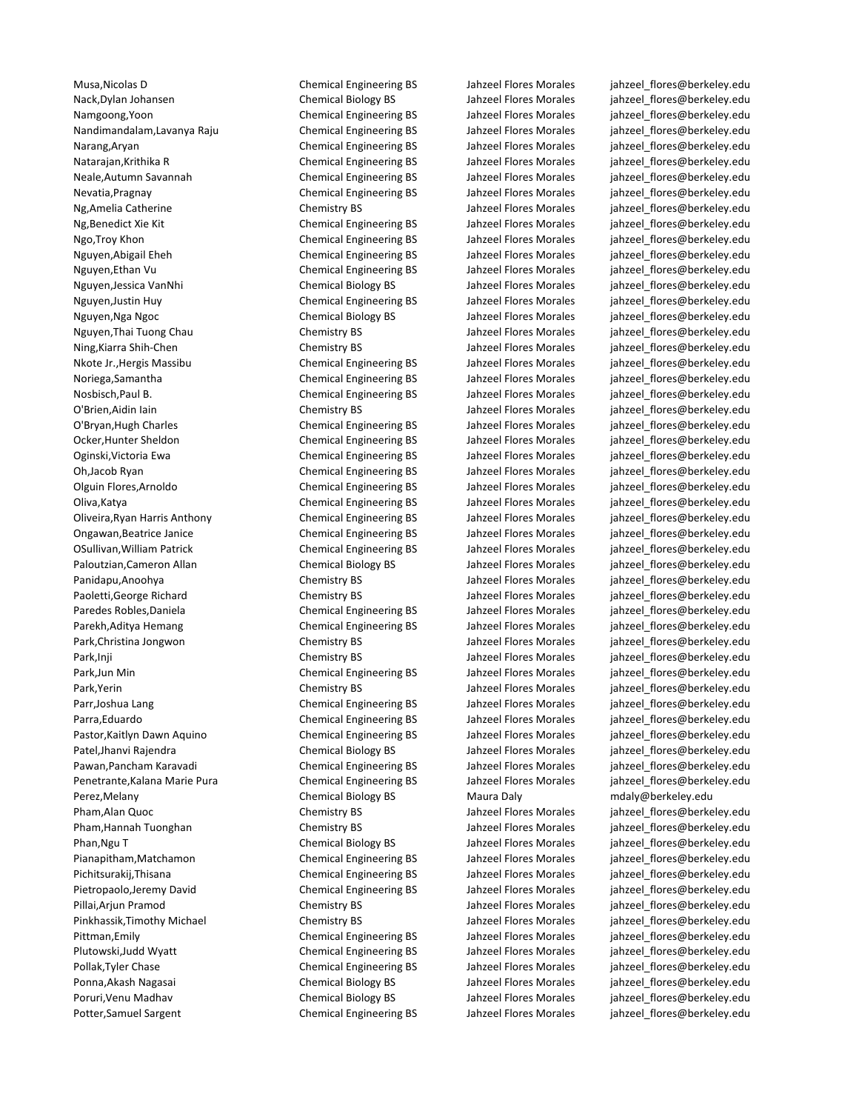Musa,Nicolas D Chemical Engineering BS Jahzeel Flores Morales [jahzeel\\_flores@berkeley.edu](mailto:mdaly@berkeley.edu) Nack,Dylan Johansen Chemical Biology BS Jahzeel Flores Morales jahzeel flores@berkeley.edu Namgoong,Yoon Chemical Engineering BS Jahzeel Flores Morales [jahzeel\\_flores@berkeley.edu](mailto:mdaly@berkeley.edu)<br>Nandimandalam.Lavanya Raiu Chemical Engineering BS Jahzeel Flores Morales iahzeel flores@berkeley.edu Nandimandalam,Lavanya Raju Chemical Engineering BS Jahzeel Flores Morales [jahzeel\\_flores@berkeley.edu](mailto:mdaly@berkeley.edu) Narang,Aryan Chemical Engineering BS Jahzeel Flores Morales [jahzeel\\_flores@berkeley.edu](mailto:mdaly@berkeley.edu) Natarajan,Krithika R Chemical Engineering BS Jahzeel Flores Morales [jahzeel\\_flores@berkeley.edu](mailto:mdaly@berkeley.edu) Neale,Autumn Savannah Chemical Engineering BS Jahzeel Flores Morales [jahzeel\\_flores@berkeley.edu](mailto:mdaly@berkeley.edu) Nevatia, Pragnay Theorem Chemical Engineering BS Jahzeel Flores Morales inhacel flores@berkeley.edu Ng,Amelia Catherine Chemistry BS Jahzeel Flores Morales [jahzeel\\_flores@berkeley.edu](mailto:mdaly@berkeley.edu) Ng,Benedict Xie Kit Chemical Engineering BS Jahzeel Flores Morales [jahzeel\\_flores@berkeley.edu](mailto:mdaly@berkeley.edu) Ngo,Troy Khon Chemical Engineering BS Jahzeel Flores Morales [jahzeel\\_flores@berkeley.edu](mailto:mdaly@berkeley.edu) Nguyen,Abigail Eheh Chemical Engineering BS Jahzeel Flores Morales [jahzeel\\_flores@berkeley.edu](mailto:mdaly@berkeley.edu) Nguyen,Ethan Vu Chemical Engineering BS Jahzeel Flores Morales [jahzeel\\_flores@berkeley.edu](mailto:mdaly@berkeley.edu) Nguyen,Jessica VanNhi Chemical Biology BS Jahzeel Flores Morales [jahzeel\\_flores@berkeley.edu](mailto:mdaly@berkeley.edu) Nguyen,Justin Huy Chemical Engineering BS Jahzeel Flores Morales [jahzeel\\_flores@berkeley.edu](mailto:mdaly@berkeley.edu) Nguyen,Nga Ngoc Chemical Biology BS Jahzeel Flores Morales [jahzeel\\_flores@berkeley.edu](mailto:mdaly@berkeley.edu) Nguyen,Thai Tuong Chau Chemistry BS Jahzeel Flores Morales [jahzeel\\_flores@berkeley.edu](mailto:mdaly@berkeley.edu) Ning,Kiarra Shih-Chen Chemistry BS Jahzeel Flores Morales [jahzeel\\_flores@berkeley.edu](mailto:mdaly@berkeley.edu) Nkote Jr.,Hergis Massibu Chemical Engineering BS Jahzeel Flores Morales [jahzeel\\_flores@berkeley.edu](mailto:mdaly@berkeley.edu) Noriega,Samantha Chemical Engineering BS Jahzeel Flores Morales [jahzeel\\_flores@berkeley.edu](mailto:mdaly@berkeley.edu) Nosbisch,Paul B. Chemical Engineering BS Jahzeel Flores Morales [jahzeel\\_flores@berkeley.edu](mailto:mdaly@berkeley.edu) O'Brien,Aidin Iain Chemistry BS Jahzeel Flores Morales [jahzeel\\_flores@berkeley.edu](mailto:mdaly@berkeley.edu) O'Bryan,Hugh Charles Chemical Engineering BS Jahzeel Flores Morales [jahzeel\\_flores@berkeley.edu](mailto:mdaly@berkeley.edu) Ocker,Hunter Sheldon Chemical Engineering BS Jahzeel Flores Morales jahzeel flores@berkeley.edu Oginski,Victoria Ewa Chemical Engineering BS Jahzeel Flores Morales [jahzeel\\_flores@berkeley.edu](mailto:mdaly@berkeley.edu) Oh,Jacob Ryan Chemical Engineering BS Jahzeel Flores Morales [jahzeel\\_flores@berkeley.edu](mailto:mdaly@berkeley.edu) Olguin Flores,Arnoldo Chemical Engineering BS Jahzeel Flores Morales [jahzeel\\_flores@berkeley.edu](mailto:mdaly@berkeley.edu) Oliva,Katya Chemical Engineering BS Jahzeel Flores Morales [jahzeel\\_flores@berkeley.edu](mailto:mdaly@berkeley.edu) Oliveira,Ryan Harris Anthony Chemical Engineering BS Jahzeel Flores Morales [jahzeel\\_flores@berkeley.edu](mailto:mdaly@berkeley.edu) Ongawan,Beatrice Janice Chemical Engineering BS Jahzeel Flores Morales [jahzeel\\_flores@berkeley.edu](mailto:mdaly@berkeley.edu) OSullivan,William Patrick Chemical Engineering BS Jahzeel Flores Morales [jahzeel\\_flores@berkeley.edu](mailto:mdaly@berkeley.edu) Paloutzian,Cameron Allan Chemical Biology BS Jahzeel Flores Morales [jahzeel\\_flores@berkeley.edu](mailto:mdaly@berkeley.edu) Panidapu,Anoohya Chemistry BS Jahzeel Flores Morales [jahzeel\\_flores@berkeley.edu](mailto:mdaly@berkeley.edu) Paoletti,George Richard Chemistry BS Jahzeel Flores Morales [jahzeel\\_flores@berkeley.edu](mailto:mdaly@berkeley.edu) Paredes Robles, Daniela **Chemical Engineering BS** Jahzeel Flores Morales inhzeel flores@berkeley.edu Parekh,Aditya Hemang Chemical Engineering BS Jahzeel Flores Morales jahzeel flores@berkeley.edu Park,Christina Jongwon Chemistry BS Jahzeel Flores Morales jahzeel flores@berkeley.edu Park,Inji Chemistry BS Jahzeel Flores Morales [jahzeel\\_flores@berkeley.edu](mailto:mdaly@berkeley.edu) Park,Jun Min Chemical Engineering BS Jahzeel Flores Morales [jahzeel\\_flores@berkeley.edu](mailto:mdaly@berkeley.edu) Park,Yerin Chemistry BS Jahzeel Flores Morales [jahzeel\\_flores@berkeley.edu](mailto:mdaly@berkeley.edu) Parr,Joshua Lang engineering Chemical Engineering BS Jahzeel Flores Morales jahzeel flores@berkeley.edu Parra,Eduardo **Chemical Engineering BS** Jahzeel Flores Morales jahzeel flores@berkeley.edu Pastor,Kaitlyn Dawn Aquino Chemical Engineering BS Jahzeel Flores Morales [jahzeel\\_flores@berkeley.edu](mailto:mdaly@berkeley.edu) Patel,Jhanvi Rajendra Chemical Biology BS Jahzeel Flores Morales jahzeel flores@berkeley.edu Pawan,Pancham Karavadi Chemical Engineering BS Jahzeel Flores Morales [jahzeel\\_flores@berkeley.edu](mailto:mdaly@berkeley.edu) Penetrante, Kalana Marie Pura Chemical Engineering BS Jahzeel Flores Morales jahzeel flores@berkeley.edu Perez,Melany **Chemical Biology BS** Maura Daly [mdaly@berkeley.edu](mailto:mdaly@berkeley.edu) Pham,Alan Quoc Chemistry BS Jahzeel Flores Morales inhzeel flores@berkeley.edu Pham,Hannah Tuonghan Chemistry BS Jahzeel Flores Morales [jahzeel\\_flores@berkeley.edu](mailto:mdaly@berkeley.edu) Phan,Ngu T Than,Ngu T Chemical Biology BS Jahzeel Flores Morales jahzeel flores@berkeley.edu Pianapitham,Matchamon Chemical Engineering BS Jahzeel Flores Morales [jahzeel\\_flores@berkeley.edu](mailto:mdaly@berkeley.edu) Pichitsurakij,Thisana entertainment of the Chemical Engineering BS Jahzeel Flores Morales jahzeel flores@berkeley.edu Pietropaolo,Jeremy David Chemical Engineering BS Jahzeel Flores Morales jahzeel flores@berkeley.edu Pillai,Arjun Pramod Chemistry BS Jahzeel Flores Morales [jahzeel\\_flores@berkeley.edu](mailto:mdaly@berkeley.edu) Pinkhassik,Timothy Michael Chemistry BS Jahzeel Flores Morales [jahzeel\\_flores@berkeley.edu](mailto:mdaly@berkeley.edu) Pittman,Emily Chemical Engineering BS Jahzeel Flores Morales [jahzeel\\_flores@berkeley.edu](mailto:mdaly@berkeley.edu) Plutowski,Judd Wyatt Chemical Engineering BS Jahzeel Flores Morales jahzeel flores@berkeley.edu Pollak,Tyler Chase Chemical Engineering BS Jahzeel Flores Morales jahzeel flores@berkeley.edu Ponna,Akash Nagasai Samus Chemical Biology BS Jahzeel Flores Morales iahzeel flores@berkeley.edu Poruri,Venu Madhav Chemical Biology BS Jahzeel Flores Morales [jahzeel\\_flores@berkeley.edu](mailto:mdaly@berkeley.edu) Potter,Samuel Sargent Chemical Engineering BS Jahzeel Flores Morales [jahzeel\\_flores@berkeley.edu](mailto:mdaly@berkeley.edu)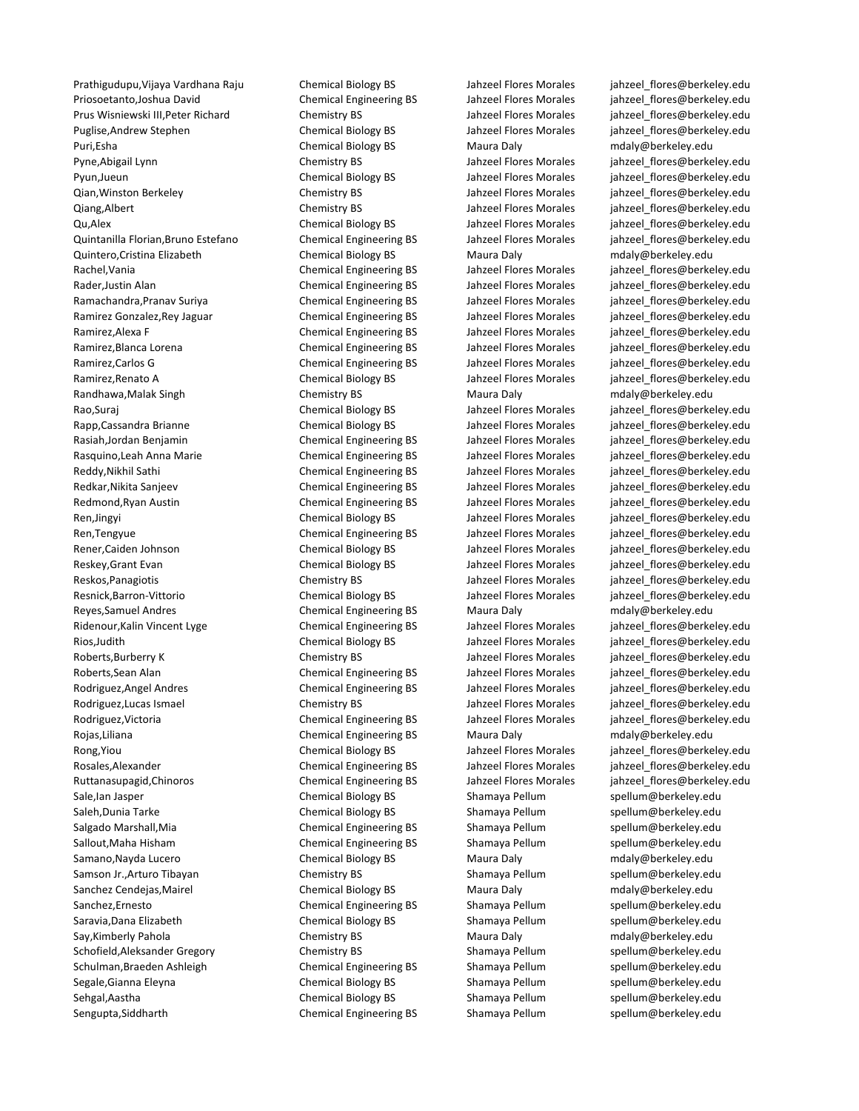Priosoetanto,Joshua David Chemical Engineering BS Jahzeel Flores Morales jahzeel flores@berkeley.edu Prus Wisniewski III,Peter Richard Chemistry BS Jahzeel Flores Morales [jahzeel\\_flores@berkeley.edu](mailto:mdaly@berkeley.edu) Puglise,Andrew Stephen Chemical Biology BS Jahzeel Flores Morales [jahzeel\\_flores@berkeley.edu](mailto:mdaly@berkeley.edu) Puri,Esha **Chemical Biology BS** Maura Daly [mdaly@berkeley.edu](mailto:mdaly@berkeley.edu) Pyne,Abigail Lynn Chemistry BS Jahzeel Flores Morales [jahzeel\\_flores@berkeley.edu](mailto:mdaly@berkeley.edu) Pyun,Jueun Chemical Biology BS Jahzeel Flores Morales [jahzeel\\_flores@berkeley.edu](mailto:mdaly@berkeley.edu) Qian, Winston Berkeley Chemistry BS Ghemistry BS Jahzeel Flores Morales and an alter flores@berkeley.edu Qiang,Albert Chemistry BS Jahzeel Flores Morales [jahzeel\\_flores@berkeley.edu](mailto:mdaly@berkeley.edu) Qu,Alex Chemical Biology BS Jahzeel Flores Morales [jahzeel\\_flores@berkeley.edu](mailto:mdaly@berkeley.edu) Quintanilla Florian,Bruno Estefano Chemical Engineering BS Jahzeel Flores Morales [jahzeel\\_flores@berkeley.edu](mailto:mdaly@berkeley.edu) Quintero,Cristina Elizabeth Chemical Biology BS Maura Daly [mdaly@berkeley.edu](mailto:mdaly@berkeley.edu) Rachel,Vania Chemical Engineering BS Jahzeel Flores Morales jahzeel flores@berkeley.edu Rader,Justin Alan **Chemical Engineering BS** Jahzeel Flores Morales in alta electricey.edu<br>Ramachandra.Pranav Suriva Chemical Engineering BS Jahzeel Flores Morales inhzeel flores@berkeley.edu Ramachandra,Pranav Suriya Chemical Engineering BS Jahzeel Flores Morales [jahzeel\\_flores@berkeley.edu](mailto:spellum@berkeley.edu) Ramirez Gonzalez, Rey Jaguar Chemical Engineering BS Jahzeel Flores Morales jahzeel flores@berkeley.edu Ramirez,Alexa F Chemical Engineering BS Jahzeel Flores Morales jahzeel flores@berkeley.edu Ramirez, Blanca Lorena **Chemical Engineering BS** Jahzeel Flores Morales jahzeel flores@berkeley.edu Ramirez,Carlos G Chemical Engineering BS Jahzeel Flores Morales inhzeel flores@berkeley.edu Ramirez,Renato A Chemical Biology BS Jahzeel Flores Morales [jahzeel\\_flores@berkeley.edu](mailto:spellum@berkeley.edu) Randhawa,Malak Singh Sandhawa,Malak Singh Chemistry BS Maura Daly metambroom metaly@berkeley.edu Rao,Suraj Suraj Chemical Biology BS Jahzeel Flores Morales jahzeel flores@berkeley.edu Rapp,Cassandra Brianne Chemical Biology BS Jahzeel Flores Morales jahzeel flores@berkeley.edu Rasiah,Jordan Benjamin Chemical Engineering BS Jahzeel Flores Morales inhzeel flores@berkeley.edu Rasquino,Leah Anna Marie **Chemical Engineering BS** Jahzeel Flores Morales jahzeel flores@berkeley.edu Reddy,Nikhil Sathi Chemical Engineering BS Jahzeel Flores Morales [jahzeel\\_flores@berkeley.edu](mailto:spellum@berkeley.edu) Redkar,Nikita Sanjeev Chemical Engineering BS Jahzeel Flores Morales [jahzeel\\_flores@berkeley.edu](mailto:spellum@berkeley.edu) Redmond,Ryan Austin Chemical Engineering BS Jahzeel Flores Morales [jahzeel\\_flores@berkeley.edu](mailto:spellum@berkeley.edu) Ren,Jingyi Chemical Biology BS Jahzeel Flores Morales [jahzeel\\_flores@berkeley.edu](mailto:spellum@berkeley.edu) Ren,Tengyue Chemical Engineering BS Jahzeel Flores Morales inhzeel flores@berkeley.edu Rener,Caiden Johnson Chemical Biology BS Jahzeel Flores Morales jahzeel flores@berkeley.edu Reskey,Grant Evan Chemical Biology BS Jahzeel Flores Morales [jahzeel\\_flores@berkeley.edu](mailto:spellum@berkeley.edu) Reskos,Panagiotis Chemistry BS Jahzeel Flores Morales [jahzeel\\_flores@berkeley.edu](mailto:spellum@berkeley.edu) Resnick,Barron-Vittorio Chemical Biology BS Jahzeel Flores Morales [jahzeel\\_flores@berkeley.edu](mailto:spellum@berkeley.edu) Reyes,Samuel Andres **Chemical Engineering BS** Maura Daly manualy@berkeley.edu Ridenour,Kalin Vincent Lyge Chemical Engineering BS Jahzeel Flores Morales [jahzeel\\_flores@berkeley.edu](mailto:spellum@berkeley.edu) Rios,Judith Chemical Biology BS Jahzeel Flores Morales [jahzeel\\_flores@berkeley.edu](mailto:spellum@berkeley.edu) Roberts,Burberry K Chemistry BS Chemistry BS Jahzeel Flores Morales [jahzeel\\_flores@berkeley.edu](mailto:spellum@berkeley.edu) Roberts,Sean Alan **Chemical Engineering BS** Jahzeel Flores Morales [jahzeel\\_flores@berkeley.edu](mailto:spellum@berkeley.edu) Rodriguez,Angel Andres Chemical Engineering BS Jahzeel Flores Morales jahzeel flores@berkeley.edu Rodriguez,Lucas Ismael **Chemistry BS** Jahzeel Flores Morales in a lahzeel flores Morales batter is the sequence of Rodriguez,Victoria **Chemical Engineering BS** Jahzeel Flores Morales inhzeel flores@berkeley.edu Rojas,Liliana Chemical Engineering BS Maura Daly [mdaly@berkeley.edu](mailto:spellum@berkeley.edu) Rong,Yiou Chemical Biology BS Jahzeel Flores Morales [jahzeel\\_flores@berkeley.edu](mailto:spellum@berkeley.edu) Rosales,Alexander Chemical Engineering BS Jahzeel Flores Morales [jahzeel\\_flores@berkeley.edu](mailto:spellum@berkeley.edu) Ruttanasupagid,Chinoros **Chemical Engineering BS** Jahzeel Flores Morales jahzeel flores@berkeley.edu Sale,Ian Jasper Themical Biology BS Shamaya Pellum Spellum@berkeley.edu Saleh,Dunia Tarke Chemical Biology BS Shamaya Pellum [spellum@berkeley.edu](mailto:spellum@berkeley.edu) Salgado Marshall, Mia **Shamaya Chemical Engineering BS** Shamaya Pellum Spellum@berkeley.edu Sallout,Maha Hisham Chemical Engineering BS Shamaya Pellum Spellum@berkeley.edu Samano,Nayda Lucero **Chemical Biology BS** Maura Daly [mdaly@berkeley.edu](mailto:spellum@berkeley.edu) Samson Jr.,Arturo Tibayan Shamaya Pellum Chemistry BS Shamaya Pellum Spellum @berkeley.edu Sanchez Cendejas, Mairel **Chemical Biology BS** Maura Daly Maura Daly [mdaly@berkeley.edu](mailto:spellum@berkeley.edu) Sanchez,Ernesto **Chemical Engineering BS** Shamaya Pellum [spellum@berkeley.edu](mailto:spellum@berkeley.edu) Saravia,Dana Elizabeth Chemical Biology BS Shamaya Pellum Spellum@berkeley.edu Say,Kimberly Pahola **Chemistry BS** Maura Daly [mdaly@berkeley.edu](mailto:spellum@berkeley.edu) Schofield,Aleksander Gregory **Schoffeld,Aleksander Gregory** Chemistry BS Shamaya Pellum [spellum@berkeley.edu](mailto:spellum@berkeley.edu) Schulman,Braeden Ashleigh Chemical Engineering BS Shamaya Pellum [spellum@berkeley.edu](mailto:spellum@berkeley.edu) Segale,Gianna Eleyna Chemical Biology BS Shamaya Pellum [spellum@berkeley.edu](mailto:spellum@berkeley.edu) Sehgal,Aastha Chemical Biology BS Shamaya Pellum [spellum@berkeley.edu](mailto:spellum@berkeley.edu) Sengupta,Siddharth **Chemical Engineering BS** Shamaya Pellum [spellum@berkeley.edu](mailto:spellum@berkeley.edu)

Prathigudupu,Vijaya Vardhana Raju Chemical Biology BS Jahzeel Flores Morales [jahzeel\\_flores@berkeley.edu](mailto:mdaly@berkeley.edu)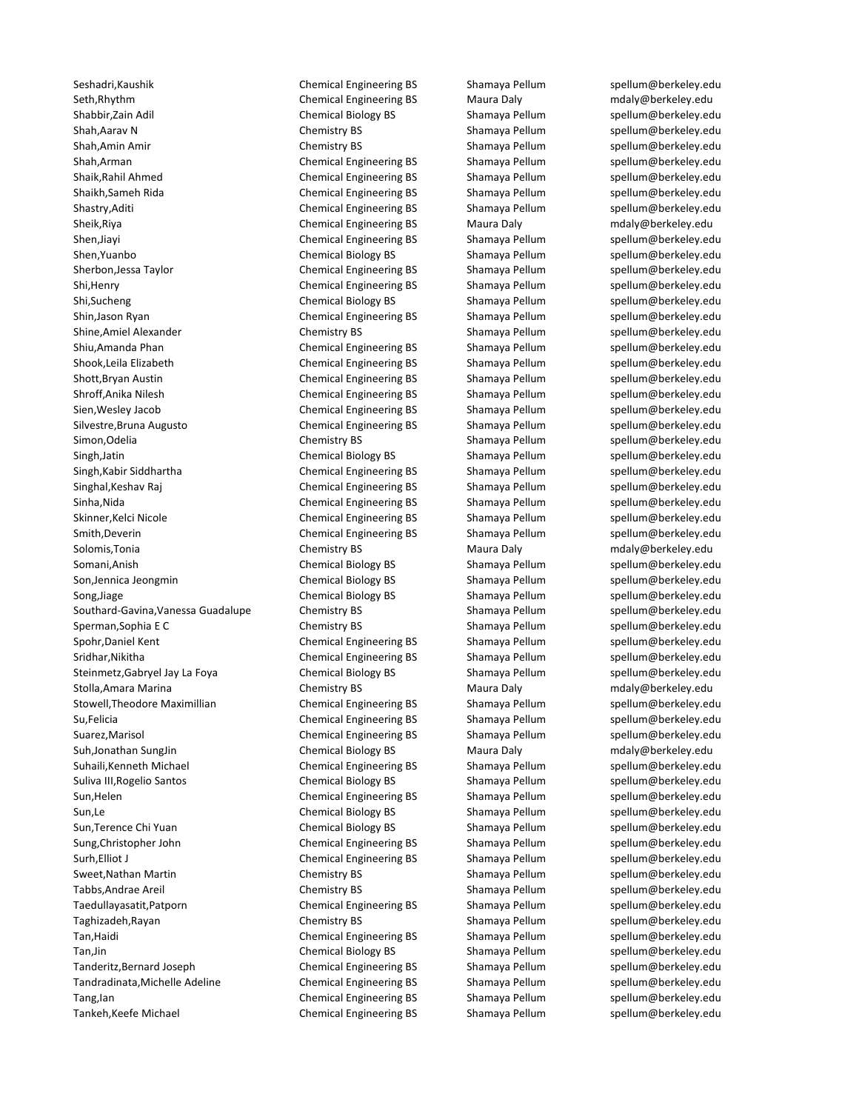Seth,Rhythm Chemical Engineering BS Maura Daly [mdaly@berkeley.edu](mailto:spellum@berkeley.edu) Shabbir,Zain Adil **Shabbir, Zain Adil Chemical Biology BS** Shamaya Pellum [spellum@berkeley.edu](mailto:spellum@berkeley.edu) Shah,Aarav N Chemistry BS Shamaya Pellum [spellum@berkeley.edu](mailto:spellum@berkeley.edu) Shah,Amin Amir **Shah,Amin Amir** Chemistry BS Shamaya Pellum [spellum@berkeley.edu](mailto:spellum@berkeley.edu) Shah,Arman **Shah,Arman** Chemical Engineering BS Shamaya Pellum [spellum@berkeley.edu](mailto:spellum@berkeley.edu) Shaik,Rahil Ahmed **Shaik,Rahil Ahmed** Chemical Engineering BS Shamaya Pellum [spellum@berkeley.edu](mailto:spellum@berkeley.edu) Shaikh,Sameh Rida Chemical Engineering BS Shamaya Pellum [spellum@berkeley.edu](mailto:spellum@berkeley.edu) Shastry,Aditi **Shamaya Pellum** Chemical Engineering BS Shamaya Pellum [spellum@berkeley.edu](mailto:spellum@berkeley.edu) Sheik,Riya **Chemical Engineering BS** Maura Daly [mdaly@berkeley.edu](mailto:spellum@berkeley.edu) Shen,Jiayi Shen,Jiayi Chemical Engineering BS Shamaya Pellum [spellum@berkeley.edu](mailto:spellum@berkeley.edu) Shen,Yuanbo Chemical Biology BS Shamaya Pellum [spellum@berkeley.edu](mailto:spellum@berkeley.edu) Sherbon,Jessa Taylor **Shamaya Pellum** Chemical Engineering BS Shamaya Pellum [spellum@berkeley.edu](mailto:spellum@berkeley.edu) Shi,Henry Chemical Engineering BS Shamaya Pellum [spellum@berkeley.edu](mailto:spellum@berkeley.edu) Shi,Sucheng Shi,Sucheng Chemical Biology BS Shamaya Pellum [spellum@berkeley.edu](mailto:spellum@berkeley.edu) Shin,Jason Ryan Chemical Engineering BS Shamaya Pellum [spellum@berkeley.edu](mailto:spellum@berkeley.edu) Shine,Amiel Alexander The Chemistry BS Shamaya Pellum [spellum@berkeley.edu](mailto:spellum@berkeley.edu) Shiu,Amanda Phan Chemical Engineering BS Shamaya Pellum [spellum@berkeley.edu](mailto:spellum@berkeley.edu) Shook,Leila Elizabeth Chemical Engineering BS Shamaya Pellum [spellum@berkeley.edu](mailto:spellum@berkeley.edu) Shott,Bryan Austin **Shott,Bryan Austin** Chemical Engineering BS Shamaya Pellum [spellum@berkeley.edu](mailto:spellum@berkeley.edu) Shroff,Anika Nilesh Chemical Engineering BS Shamaya Pellum [spellum@berkeley.edu](mailto:spellum@berkeley.edu) Sien,Wesley Jacob **Shamaya Pellum Shamaya Pellum** Spellum engineering BS Shamaya Pellum [spellum@berkeley.edu](mailto:spellum@berkeley.edu) Silvestre,Bruna Augusto Chemical Engineering BS Shamaya Pellum [spellum@berkeley.edu](mailto:spellum@berkeley.edu) Simon, Odelia **Shamaya Pellum Shamaya Pellum** Shamaya Pellum [spellum@berkeley.edu](mailto:spellum@berkeley.edu) Singh,Jatin Summan Shamaya Pellum Shamaya Pellum [spellum@berkeley.edu](mailto:spellum@berkeley.edu) Singh,Kabir Siddhartha **Chemical Engineering BS** Shamaya Pellum [spellum@berkeley.edu](mailto:spellum@berkeley.edu) Singhal, Keshav Raj Shamaya Pellum Singhal, Keshav Raj Chemical Engineering BS Shamaya Pellum Spellum@berkeley.edu Sinha,Nida **Shamaya Pellum** Chemical Engineering BS Shamaya Pellum [spellum@berkeley.edu](mailto:spellum@berkeley.edu) Skinner, Kelci Nicole **Chemical Engineering BS** Shamaya Pellum [spellum@berkeley.edu](mailto:spellum@berkeley.edu) Smith,Deverin **Shamaya Engineering BS** Shamaya Pellum [spellum@berkeley.edu](mailto:spellum@berkeley.edu) Solomis,Tonia **Chemistry BS** Maura Daly [mdaly@berkeley.edu](mailto:spellum@berkeley.edu) metapology edu Somani,Anish Chemical Biology BS Shamaya Pellum [spellum@berkeley.edu](mailto:spellum@berkeley.edu) Son,Jennica Jeongmin Chemical Biology BS Shamaya Pellum [spellum@berkeley.edu](mailto:spellum@berkeley.edu) Song,Jiage Song,Jiage Chemical Biology BS Shamaya Pellum [spellum@berkeley.edu](mailto:spellum@berkeley.edu) Southard-Gavina, Vanessa Guadalupe Chemistry BS Shamaya Pellum [spellum@berkeley.edu](mailto:spellum@berkeley.edu) Sperman,Sophia E C Chemistry BS Shamaya Pellum [spellum@berkeley.edu](mailto:spellum@berkeley.edu) Spohr,Daniel Kent Chemical Engineering BS Shamaya Pellum [spellum@berkeley.edu](mailto:spellum@berkeley.edu) Sridhar, Nikitha **Chemical Engineering BS** Shamaya Pellum [spellum@berkeley.edu](mailto:spellum@berkeley.edu) Steinmetz,Gabryel Jay La Foya **Chemical Biology BS** Shamaya Pellum [spellum@berkeley.edu](mailto:spellum@berkeley.edu) Stolla,Amara Marina **Marina Chemistry BS** Maura Daly Maura Daly [mdaly@berkeley.edu](mailto:spellum@berkeley.edu) Stowell,Theodore Maximillian Chemical Engineering BS Shamaya Pellum [spellum@berkeley.edu](mailto:spellum@berkeley.edu) Su,Felicia **Suite Chemical Engineering BS** Shamaya Pellum [spellum@berkeley.edu](mailto:spellum@berkeley.edu) Suarez, Marisol Chemical Engineering BS Shamaya Pellum [spellum@berkeley.edu](mailto:spellum@berkeley.edu) Suh,Jonathan SungJin Chemical Biology BS Maura Daly [mdaly@berkeley.edu](mailto:spellum@berkeley.edu) Suhaili,Kenneth Michael **Subaition Chemical Engineering BS** Shamaya Pellum [spellum@berkeley.edu](mailto:spellum@berkeley.edu) Suliva III, Rogelio Santos Chemical Biology BS Shamaya Pellum Spellum@berkeley.edu Sun, Helen Sun, Helen Chemical Engineering BS Shamaya Pellum [spellum@berkeley.edu](mailto:spellum@berkeley.edu) Sun,Le Chemical Biology BS Shamaya Pellum [spellum@berkeley.edu](mailto:spellum@berkeley.edu) Sun, Terence Chi Yuan Chemical Biology BS Shamaya Pellum Spellum@berkeley.edu Sung,Christopher John Chemical Engineering BS Shamaya Pellum Spellum@berkeley.edu Surh, Elliot J Chemical Engineering BS Shamaya Pellum [spellum@berkeley.edu](mailto:spellum@berkeley.edu) Sweet,Nathan Martin **Shamaya Pellum Shamaya Pellum** Spellum Spellum **@berkeley.edu** Tabbs,Andrae Areil **Shamaya Pellum Shamaya Pellum** Shamaya Pellum [spellum@berkeley.edu](mailto:spellum@berkeley.edu) Taedullayasatit,Patporn **Chemical Engineering BS** Shamaya Pellum [spellum@berkeley.edu](mailto:spellum@berkeley.edu) Taghizadeh,Rayan Shamaya Pellum Shamaya Pellum Shamaya Pellum Shamaya Pellum Shamaya Pellum Shamaya Pellum Shamaya Pellum Shamaya Pellum Shamaya Pellum Shamaya Pellum Shamaya Pellum Shamaya Pellum Shamaya Pellum Shamaya Pe Tan,Haidi **Shamaya Pellum** Chemical Engineering BS Shamaya Pellum [spellum@berkeley.edu](mailto:spellum@berkeley.edu) Tan,Jin Chemical Biology BS Shamaya Pellum [spellum@berkeley.edu](mailto:spellum@berkeley.edu) Tanderitz,Bernard Joseph Chemical Engineering BS Shamaya Pellum [spellum@berkeley.edu](mailto:spellum@berkeley.edu) Tandradinata,Michelle Adeline Chemical Engineering BS Shamaya Pellum [spellum@berkeley.edu](mailto:spellum@berkeley.edu) Tang,Ian Chemical Engineering BS Shamaya Pellum [spellum@berkeley.edu](mailto:spellum@berkeley.edu) Tankeh,Keefe Michael Chemical Engineering BS Shamaya Pellum [spellum@berkeley.edu](mailto:spellum@berkeley.edu)

Seshadri, Kaushik Chemical Engineering BS Shamaya Pellum [spellum@berkeley.edu](mailto:spellum@berkeley.edu)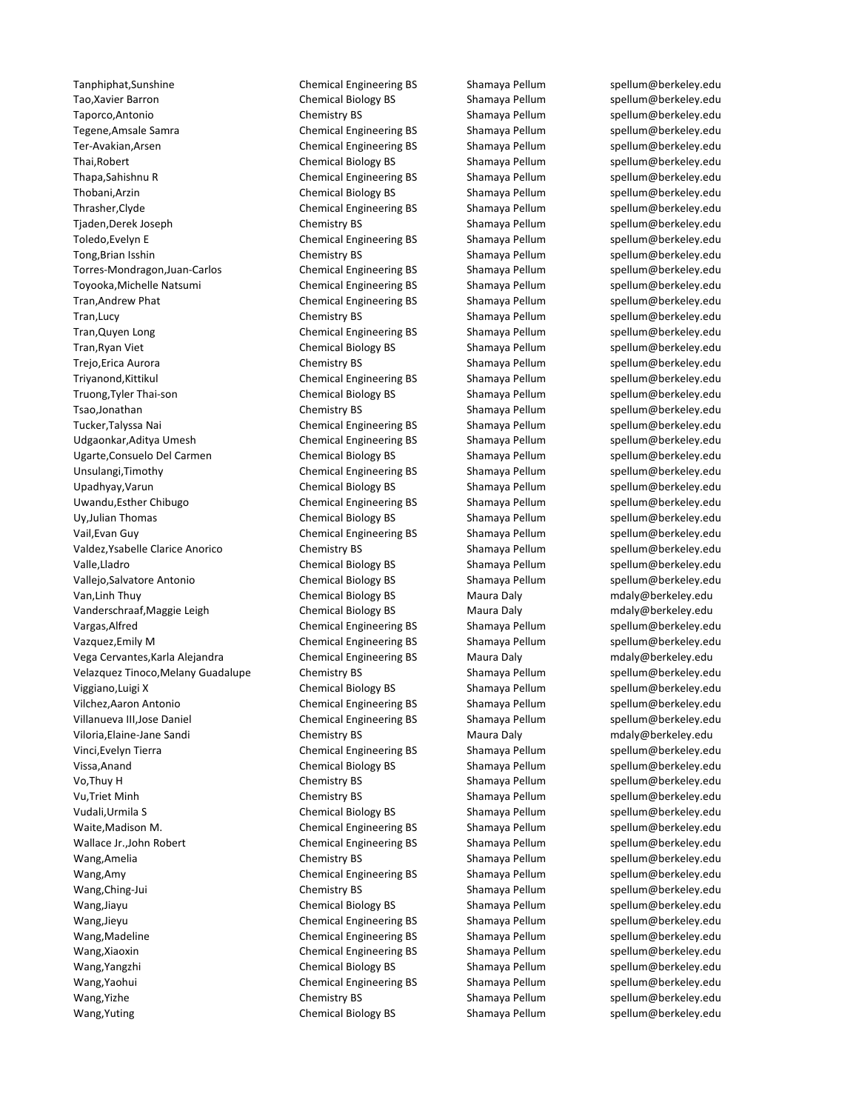Tanphiphat,Sunshine **Chemical Engineering BS** Shamaya Pellum [spellum@berkeley.edu](mailto:spellum@berkeley.edu) Tao,Xavier Barron Tarron Chemical Biology BS Shamaya Pellum [spellum@berkeley.edu](mailto:spellum@berkeley.edu) Taporco,Antonio Chemistry BS Shamaya Pellum [spellum@berkeley.edu](mailto:spellum@berkeley.edu) Ter-Avakian,Arsen Shamaya Pellum Shamaya Pellum Shamaya Pellum Shamaya Pellum Shamaya Pellum Shamaya Pellum eta Thai, Robert **Chemical Biology BS** Shamaya Pellum [spellum@berkeley.edu](mailto:spellum@berkeley.edu) Thapa,Sahishnu R Chemical Engineering BS Shamaya Pellum [spellum@berkeley.edu](mailto:spellum@berkeley.edu) Thobani,Arzin **Shamaya Pellum** Chemical Biology BS Shamaya Pellum [spellum@berkeley.edu](mailto:spellum@berkeley.edu) Thrasher,Clyde Chemical Engineering BS Shamaya Pellum [spellum@berkeley.edu](mailto:spellum@berkeley.edu) Tjaden,Derek Joseph Chemistry BS Shamaya Pellum [spellum@berkeley.edu](mailto:spellum@berkeley.edu) Toledo,Evelyn E Chemical Engineering BS Shamaya Pellum [spellum@berkeley.edu](mailto:spellum@berkeley.edu) Tong,Brian Isshin **Shamaya Pellum** Spellum and Islamaya Pellum Spellum and Spellum and Spellum et al. and Spellum and Spellum and Spellum and Spellum and Spellum and Spellum and Spellum and Spellum and Spellum and Spellum Torres-Mondragon,Juan-Carlos Chemical Engineering BS Shamaya Pellum [spellum@berkeley.edu](mailto:spellum@berkeley.edu) Toyooka,Michelle Natsumi Chemical Engineering BS Shamaya Pellum [spellum@berkeley.edu](mailto:spellum@berkeley.edu) Tran,Andrew Phat **Chemical Engineering BS** Shamaya Pellum [spellum@berkeley.edu](mailto:spellum@berkeley.edu) Tran,Lucy **Shamaya Pellum** Spellum Spellum Spellum Shamaya Pellum Spellum@berkeley.edu Tran, Quyen Long Chemical Engineering BS Shamaya Pellum [spellum@berkeley.edu](mailto:spellum@berkeley.edu) Tran, Ryan Viet **Chemical Biology BS** Shamaya Pellum [spellum@berkeley.edu](mailto:spellum@berkeley.edu) Trejo,Erica Aurora **Chemistry BS** Shamaya Pellum [spellum@berkeley.edu](mailto:spellum@berkeley.edu) Triyanond,Kittikul Chemical Engineering BS Shamaya Pellum [spellum@berkeley.edu](mailto:spellum@berkeley.edu) Truong,Tyler Thai-son **Shamaya Pellum Shamaya Pellum** Spellum@berkeley.edu Tsao,Jonathan Chemistry BS Shamaya Pellum [spellum@berkeley.edu](mailto:spellum@berkeley.edu) Tucker,Talyssa Nai Shamaya Pellum Chemical Engineering BS Shamaya Pellum Shamaya Pellum @berkeley.edu Udgaonkar,Aditya Umesh Chemical Engineering BS Shamaya Pellum [spellum@berkeley.edu](mailto:spellum@berkeley.edu) Ugarte,Consuelo Del Carmen Chemical Biology BS Shamaya Pellum [spellum@berkeley.edu](mailto:spellum@berkeley.edu) Unsulangi,Timothy Chemical Engineering BS Shamaya Pellum [spellum@berkeley.edu](mailto:spellum@berkeley.edu) Upadhyay, Varun Chemical Biology BS Shamaya Pellum [spellum@berkeley.edu](mailto:spellum@berkeley.edu) Uwandu,Esther Chibugo Chemical Engineering BS Shamaya Pellum [spellum@berkeley.edu](mailto:spellum@berkeley.edu) Uy,Julian Thomas Chemical Biology BS Shamaya Pellum Spellum@berkeley.edu Vail,Evan Guy Chemical Engineering BS Shamaya Pellum [spellum@berkeley.edu](mailto:spellum@berkeley.edu) Valdez, Ysabelle Clarice Anorico Chemistry BS Shamaya Pellum [spellum@berkeley.edu](mailto:spellum@berkeley.edu) Valle,Lladro Chemical Biology BS Shamaya Pellum [spellum@berkeley.edu](mailto:spellum@berkeley.edu) Vallejo,Salvatore Antonio Chemical Biology BS Shamaya Pellum [spellum@berkeley.edu](mailto:spellum@berkeley.edu) Van,Linh Thuy **Chemical Biology BS** Maura Daly [mdaly@berkeley.edu](mailto:spellum@berkeley.edu) Manus Daly mdaly@berkeley.edu Vanderschraaf,Maggie Leigh Chemical Biology BS Maura Daly [mdaly@berkeley.edu](mailto:spellum@berkeley.edu) Vargas,Alfred Chemical Engineering BS Shamaya Pellum Spellum @berkeley.edu Vazquez,Emily M Chemical Engineering BS Shamaya Pellum [spellum@berkeley.edu](mailto:spellum@berkeley.edu) Vega Cervantes,Karla Alejandra Chemical Engineering BS Maura Daly [mdaly@berkeley.edu](mailto:spellum@berkeley.edu) Velazquez Tinoco,Melany Guadalupe Chemistry BS Shamaya Pellum [spellum@berkeley.edu](mailto:spellum@berkeley.edu) Viggiano,Luigi X **Shamaya Pellum Shamaya Pellum** Shamaya Pellum [spellum@berkeley.edu](mailto:spellum@berkeley.edu) Vilchez,Aaron Antonio Chemical Engineering BS Shamaya Pellum Spellum@berkeley.edu Villanueva III,Jose Daniel **Chemical Engineering BS** Shamaya Pellum [spellum@berkeley.edu](mailto:spellum@berkeley.edu) Viloria,Elaine-Jane Sandi Chemistry BS Maura Daly [mdaly@berkeley.edu](mailto:spellum@berkeley.edu) Vinci, Evelyn Tierra Terra Chemical Engineering BS Shamaya Pellum [spellum@berkeley.edu](mailto:spellum@berkeley.edu) Vissa,Anand Chemical Biology BS Shamaya Pellum Spellum @berkeley.edu Vo,Thuy H Chemistry BS Shamaya Pellum [spellum@berkeley.edu](mailto:spellum@berkeley.edu) Vu,Triet Minh Chemistry BS Shamaya Pellum [spellum@berkeley.edu](mailto:spellum@berkeley.edu) Vudali,Urmila S Chemical Biology BS Shamaya Pellum [spellum@berkeley.edu](mailto:spellum@berkeley.edu) Waite,Madison M. Chemical Engineering BS Shamaya Pellum [spellum@berkeley.edu](mailto:spellum@berkeley.edu) Wallace Jr.,John Robert **Chemical Engineering BS** Shamaya Pellum Spellum@berkeley.edu Wang,Amelia **Shamaya Pellum Shamaya Pellum** Spellum Spellum spellum et al. and the spellum et al. and the spellum et al. and the spellum et al. and the spellum et al. and the spellum et al. and the spellum et al. and the s Wang,Amy Chemical Engineering BS Shamaya Pellum [spellum@berkeley.edu](mailto:spellum@berkeley.edu) Wang,Ching-Jui Chemistry BS Shamaya Pellum [spellum@berkeley.edu](mailto:spellum@berkeley.edu) Wang,Jiayu Shamaya Pellum Shamaya Pellum Shamaya Pellum Shamaya Pellum Shamaya Pellum Shamaya Pellum Shamaya Pellum Anang Berkeley.edu Wang,Jieyu Chemical Engineering BS Shamaya Pellum Spellum@berkeley.edu Wang,Madeline **Chemical Engineering BS** Shamaya Pellum [spellum@berkeley.edu](mailto:spellum@berkeley.edu) Wang,Xiaoxin **Chemical Engineering BS** Shamaya Pellum [spellum@berkeley.edu](mailto:spellum@berkeley.edu) Wang,Yangzhi Chemical Biology BS Shamaya Pellum [spellum@berkeley.edu](mailto:spellum@berkeley.edu) Wang,Yaohui **Shamaya Pellum** Chemical Engineering BS Shamaya Pellum [spellum@berkeley.edu](mailto:spellum@berkeley.edu) Wang,Yizhe Chemistry BS Shamaya Pellum [spellum@berkeley.edu](mailto:spellum@berkeley.edu) Wang,Yuting Chemical Biology BS Shamaya Pellum [spellum@berkeley.edu](mailto:spellum@berkeley.edu)

Chemical Engineering BS Shamaya Pellum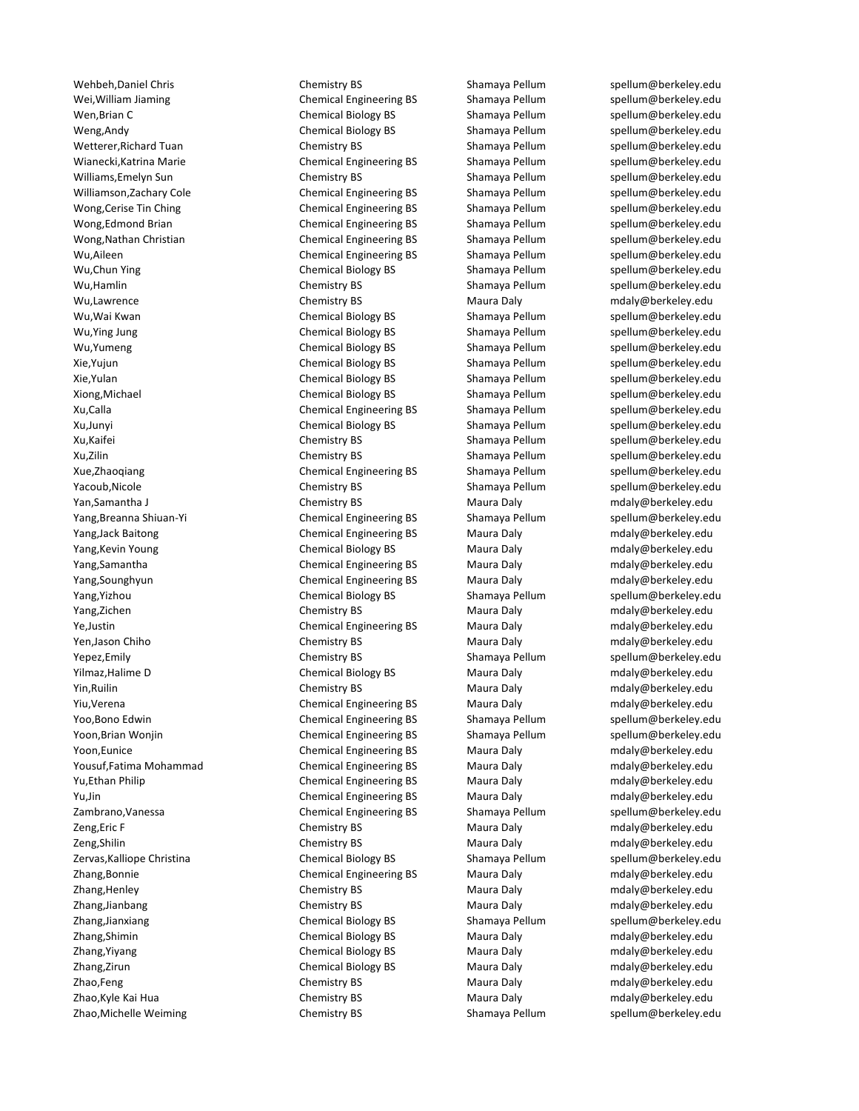Wei, William Jiaming Themical Engineering BS Shamaya Pellum Spellum@berkeley.edu Wen,Brian C Chemical Biology BS Shamaya Pellum [spellum@berkeley.edu](mailto:spellum@berkeley.edu) Weng,Andy Chemical Biology BS Shamaya Pellum [spellum@berkeley.edu](mailto:spellum@berkeley.edu) Wetterer,Richard Tuan Tuan Chemistry BS Shamaya Pellum [spellum@berkeley.edu](mailto:spellum@berkeley.edu) Wianecki,Katrina Marie **Chemical Engineering BS** Shamaya Pellum [spellum@berkeley.edu](mailto:spellum@berkeley.edu) Williams, Emelyn Sun Chemistry BS Shamaya Pellum Spellum@berkeley.edu Williamson,Zachary Cole **Chemical Engineering BS** Shamaya Pellum [spellum@berkeley.edu](mailto:spellum@berkeley.edu) Wong, Cerise Tin Ching Chemical Engineering BS Shamaya Pellum [spellum@berkeley.edu](mailto:spellum@berkeley.edu) Wong,Edmond Brian **Chemical Engineering BS** Shamaya Pellum [spellum@berkeley.edu](mailto:spellum@berkeley.edu) Wong,Nathan Christian Chemical Engineering BS Shamaya Pellum [spellum@berkeley.edu](mailto:spellum@berkeley.edu) Wu,Aileen **Shamaya Pellum** Chemical Engineering BS Shamaya Pellum [spellum@berkeley.edu](mailto:spellum@berkeley.edu) Wu,Chun Ying Chemical Biology BS Shamaya Pellum [spellum@berkeley.edu](mailto:spellum@berkeley.edu) Wu,Hamlin Chemistry BS Chemistry BS Shamaya Pellum Spellum@berkeley.edu<br>Chemistry BS Shamaya Pellum Spellum Spellum@berkeley.edu Wu,Wai Kwan **Chemical Biology BS** Shamaya Pellum [spellum@berkeley.edu](mailto:spellum@berkeley.edu) Wu, Ying Jung Shamaya Jung Jung Chemical Biology BS Shamaya Pellum Spellum@berkeley.edu Wu,Yumeng entitled Chemical Biology BS Shamaya Pellum [spellum@berkeley.edu](mailto:spellum@berkeley.edu) Xie, Yujun Shamaya Pellum Shamaya Pellum Shamaya Pellum Shamaya Pellum Shamaya Pellum Shamaya Pellum Aberkeley.edu Xie,Yulan Shamaya Pellum Shamaya Pellum Shamaya Pellum Shamaya Pellum Shamaya Pellum@berkeley.edu Xiong,Michael Chemical Biology BS Shamaya Pellum [spellum@berkeley.edu](mailto:spellum@berkeley.edu) Xu,Calla **Chemical Engineering BS** Shamaya Pellum [spellum@berkeley.edu](mailto:spellum@berkeley.edu) Xu,Junyi Chemical Biology BS Shamaya Pellum [spellum@berkeley.edu](mailto:spellum@berkeley.edu) Shamaya Pellum Xu,Kaifei **Shamaya Pellum Shamaya Pellum** Spellum Su,Kaifei Shamaya Pellum Spellum Spellum **shamaya Pellum** Spellum Bu Spellum Spellum Spellum Spellum Spellum Spellum Spellum Spellum Spellum Spellum Spellum Spellum Spellum Xu,Zilin Shamaya Pellum Shamaya Pellum [spellum@berkeley.edu](mailto:spellum@berkeley.edu) Xue,Zhaoqiang entitled and Chemical Engineering BS Shamaya Pellum [spellum@berkeley.edu](mailto:spellum@berkeley.edu) Yacoub, Nicole **Chemistry BS** Shamaya Pellum [spellum@berkeley.edu](mailto:spellum@berkeley.edu) Yan,Samantha J Chemistry BS Maura Daly Maura Daly [mdaly@berkeley.edu](mailto:spellum@berkeley.edu) Yang,Breanna Shiuan-Yi Chemical Engineering BS Shamaya Pellum [spellum@berkeley.edu](mailto:spellum@berkeley.edu) Yang,Jack Baitong Chemical Engineering BS Maura Daly [mdaly@berkeley.edu](mailto:spellum@berkeley.edu) Yang,Kevin Young The Chemical Biology BS Maura Daly metally@berkeley.edu Yang,Samantha Chemical Engineering BS Maura Daly [mdaly@berkeley.edu](mailto:spellum@berkeley.edu) Yang,Sounghyun Chemical Engineering BS Maura Daly [mdaly@berkeley.edu](mailto:spellum@berkeley.edu) Yang,Yizhou **Shamaya Pellum** Chemical Biology BS Shamaya Pellum [spellum@berkeley.edu](mailto:spellum@berkeley.edu) Yang,Zichen Chemistry BS Maura Daly [mdaly@berkeley.edu](mailto:spellum@berkeley.edu) Ye,Justin **Chemical Engineering BS** Maura Daly manaly@berkeley.edu metapology.com Yen,Jason Chiho **Chemistry BS** Chemistry BS Maura Daly [mdaly@berkeley.edu](mailto:spellum@berkeley.edu) Yepez,Emily Chemistry BS Shamaya Pellum [spellum@berkeley.edu](mailto:spellum@berkeley.edu) Yilmaz,Halime D Chemical Biology BS Maura Daly [mdaly@berkeley.edu](mailto:spellum@berkeley.edu) Yin,Ruilin Chemistry BS Maura Daly [mdaly@berkeley.edu](mailto:spellum@berkeley.edu) metalway metalway metalway metalway Yiu,Verena Chemical Engineering BS Maura Daly [mdaly@berkeley.edu](mailto:spellum@berkeley.edu) Yoo,Bono Edwin **Chemical Engineering BS** Shamaya Pellum [spellum@berkeley.edu](mailto:spellum@berkeley.edu) Yoon,Brian Wonjin The Chemical Engineering BS Shamaya Pellum [spellum@berkeley.edu](mailto:spellum@berkeley.edu) Yoon,Eunice **Chemical Engineering BS** Maura Daly manufaly@berkeley.edu Yousuf,Fatima Mohammad **Samua Chemical Engineering BS** Maura Daly manus [mdaly@berkeley.edu](mailto:spellum@berkeley.edu) Yu,Ethan Philip Chemical Engineering BS Maura Daly many [mdaly@berkeley.edu](mailto:spellum@berkeley.edu) Yu,Jin Chemical Engineering BS Maura Daly [mdaly@berkeley.edu](mailto:spellum@berkeley.edu) Zambrano,Vanessa Chemical Engineering BS Shamaya Pellum [spellum@berkeley.edu](mailto:spellum@berkeley.edu) Zeng,Eric F Chemistry BS Maura Daly modaly@berkeley.edu Zeng,Shilin Chemistry BS Maura Daly [mdaly@berkeley.edu](mailto:spellum@berkeley.edu) Zervas,Kalliope Christina **Shamaya Chemical Biology BS** Shamaya Pellum [spellum@berkeley.edu](mailto:spellum@berkeley.edu) Zhang,Bonnie Chemical Engineering BS Maura Daly [mdaly@berkeley.edu](mailto:spellum@berkeley.edu) Zhang,Henley **Chemistry BS** Maura Daly [mdaly@berkeley.edu](mailto:spellum@berkeley.edu) Zhang,Jianbang **Chemistry BS** Maura Daly [mdaly@berkeley.edu](mailto:spellum@berkeley.edu) Zhang,Jianxiang Shamaya Pellum Chemical Biology BS Shamaya Pellum Shamaya Pellum Chemical Biology BS Zhang,Shimin Chemical Biology BS Maura Daly [mdaly@berkeley.edu](mailto:spellum@berkeley.edu) Zhang,Yiyang Chemical Biology BS Maura Daly [mdaly@berkeley.edu](mailto:spellum@berkeley.edu) Zhang,Zirun Chemical Biology BS Maura Daly [mdaly@berkeley.edu](mailto:spellum@berkeley.edu) Zhao,Feng and Chemistry BS Maura Daly metalwaberkeley.edu Zhao,Kyle Kai Hua Chemistry BS Maura Daly Maura Daly [mdaly@berkeley.edu](mailto:spellum@berkeley.edu)

Wehbeh,Daniel Chris Chemistry BS Shamaya Pellum [spellum@berkeley.edu](mailto:spellum@berkeley.edu) Chemistry BS Maura Daly [mdaly@berkeley.edu](mailto:spellum@berkeley.edu) Zhao,Michelle Weiming Chemistry BS Shamaya Pellum [spellum@berkeley.edu](mailto:spellum@berkeley.edu)